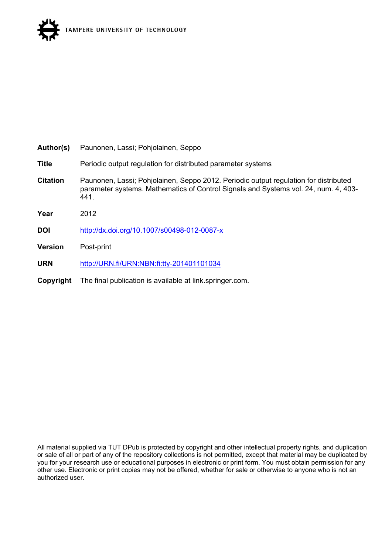

| Author(s)       | Paunonen, Lassi; Pohjolainen, Seppo                                                                                                                                                 |
|-----------------|-------------------------------------------------------------------------------------------------------------------------------------------------------------------------------------|
| <b>Title</b>    | Periodic output regulation for distributed parameter systems                                                                                                                        |
| <b>Citation</b> | Paunonen, Lassi; Pohjolainen, Seppo 2012. Periodic output regulation for distributed<br>parameter systems. Mathematics of Control Signals and Systems vol. 24, num. 4, 403-<br>441. |
| Year            | 2012                                                                                                                                                                                |
| <b>DOI</b>      | http://dx.doi.org/10.1007/s00498-012-0087-x                                                                                                                                         |
| <b>Version</b>  | Post-print                                                                                                                                                                          |
| <b>URN</b>      | http://URN.fi/URN:NBN:fi:tty-201401101034                                                                                                                                           |
| Copyright       | The final publication is available at link springer com.                                                                                                                            |

All material supplied via TUT DPub is protected by copyright and other intellectual property rights, and duplication or sale of all or part of any of the repository collections is not permitted, except that material may be duplicated by you for your research use or educational purposes in electronic or print form. You must obtain permission for any other use. Electronic or print copies may not be offered, whether for sale or otherwise to anyone who is not an authorized user.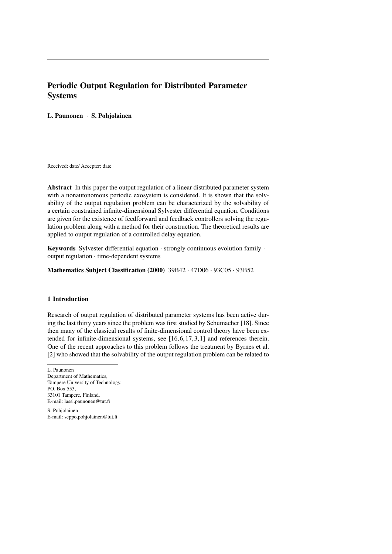# Periodic Output Regulation for Distributed Parameter Systems

## L. Paunonen · S. Pohjolainen

Received: date/ Accepter: date

Abstract In this paper the output regulation of a linear distributed parameter system with a nonautonomous periodic exosystem is considered. It is shown that the solvability of the output regulation problem can be characterized by the solvability of a certain constrained infinite-dimensional Sylvester differential equation. Conditions are given for the existence of feedforward and feedback controllers solving the regulation problem along with a method for their construction. The theoretical results are applied to output regulation of a controlled delay equation.

Keywords Sylvester differential equation  $\cdot$  strongly continuous evolution family  $\cdot$ output regulation · time-dependent systems

Mathematics Subject Classification (2000) 39B42 · 47D06 · 93C05 · 93B52

## 1 Introduction

Research of output regulation of distributed parameter systems has been active during the last thirty years since the problem was first studied by Schumacher [18]. Since then many of the classical results of finite-dimensional control theory have been extended for infinite-dimensional systems, see [16, 6, 17, 3, 1] and references therein. One of the recent approaches to this problem follows the treatment by Byrnes et al. [2] who showed that the solvability of the output regulation problem can be related to

S. Pohjolainen E-mail: seppo.pohjolainen@tut.fi

L. Paunonen Department of Mathematics, Tampere University of Technology. PO. Box 553, 33101 Tampere, Finland. E-mail: lassi.paunonen@tut.fi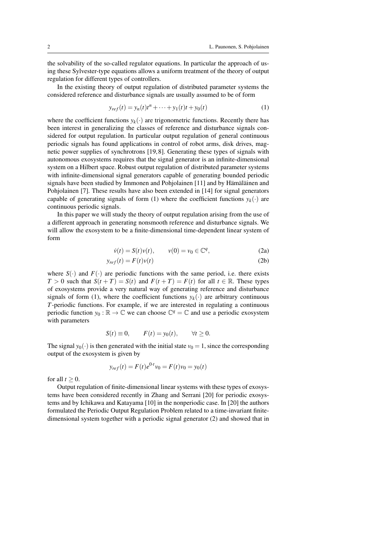the solvability of the so-called regulator equations. In particular the approach of using these Sylvester-type equations allows a uniform treatment of the theory of output regulation for different types of controllers.

In the existing theory of output regulation of distributed parameter systems the considered reference and disturbance signals are usually assumed to be of form

$$
y_{ref}(t) = y_n(t)t^n + \dots + y_1(t)t + y_0(t)
$$
 (1)

where the coefficient functions  $y_k(\cdot)$  are trigonometric functions. Recently there has been interest in generalizing the classes of reference and disturbance signals considered for output regulation. In particular output regulation of general continuous periodic signals has found applications in control of robot arms, disk drives, magnetic power supplies of synchrotrons [19, 8]. Generating these types of signals with autonomous exosystems requires that the signal generator is an infinite-dimensional system on a Hilbert space. Robust output regulation of distributed parameter systems with infinite-dimensional signal generators capable of generating bounded periodic signals have been studied by Immonen and Pohjolainen [11] and by Hämäläinen and Pohjolainen [7]. These results have also been extended in [14] for signal generators capable of generating signals of form (1) where the coefficient functions  $y_k(\cdot)$  are continuous periodic signals.

In this paper we will study the theory of output regulation arising from the use of a different approach in generating nonsmooth reference and disturbance signals. We will allow the exosystem to be a finite-dimensional time-dependent linear system of form

$$
\dot{v}(t) = S(t)v(t), \qquad v(0) = v_0 \in \mathbb{C}^q,
$$
\n(2a)

$$
y_{ref}(t) = F(t)v(t)
$$
 (2b)

where  $S(\cdot)$  and  $F(\cdot)$  are periodic functions with the same period, i.e. there exists *T* > 0 such that  $S(t+T) = S(t)$  and  $F(t+T) = F(t)$  for all  $t \in \mathbb{R}$ . These types of exosystems provide a very natural way of generating reference and disturbance signals of form (1), where the coefficient functions  $y_k(\cdot)$  are arbitrary continuous *T*-periodic functions. For example, if we are interested in regulating a continuous periodic function  $y_0 : \mathbb{R} \to \mathbb{C}$  we can choose  $\mathbb{C}^q = \mathbb{C}$  and use a periodic exosystem with parameters

$$
S(t) \equiv 0, \qquad F(t) = y_0(t), \qquad \forall t \ge 0.
$$

The signal  $y_0(\cdot)$  is then generated with the initial state  $v_0 = 1$ , since the corresponding output of the exosystem is given by

$$
y_{ref}(t) = F(t)e^{0 \tcdot t} v_0 = F(t)v_0 = y_0(t)
$$

for all  $t > 0$ .

Output regulation of finite-dimensional linear systems with these types of exosystems have been considered recently in Zhang and Serrani [20] for periodic exosystems and by Ichikawa and Katayama [10] in the nonperiodic case. In [20] the authors formulated the Periodic Output Regulation Problem related to a time-invariant finitedimensional system together with a periodic signal generator (2) and showed that in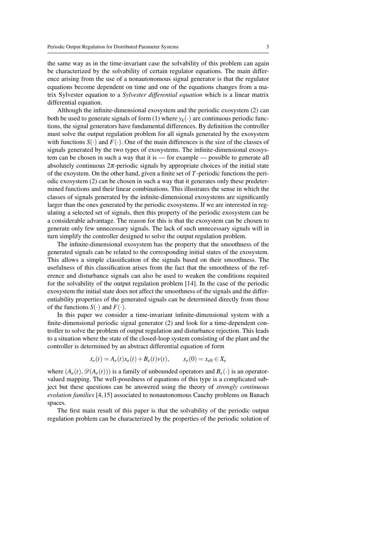the same way as in the time-invariant case the solvability of this problem can again be characterized by the solvability of certain regulator equations. The main difference arising from the use of a nonautonomous signal generator is that the regulator equations become dependent on time and one of the equations changes from a matrix Sylvester equation to a *Sylvester differential equation* which is a linear matrix differential equation.

Although the infinite-dimensional exosystem and the periodic exosystem (2) can both be used to generate signals of form (1) where  $y_k(\cdot)$  are continuous periodic functions, the signal generators have fundamental differences. By definition the controller must solve the output regulation problem for all signals generated by the exosystem with functions  $S(\cdot)$  and  $F(\cdot)$ . One of the main differences is the size of the classes of signals generated by the two types of exosystems. The infinite-dimensional exosystem can be chosen in such a way that it is — for example — possible to generate all absolutely continuous  $2\pi$ -periodic signals by appropriate choices of the initial state of the exoystem. On the other hand, given a finite set of *T*-periodic functions the periodic exosystem (2) can be chosen in such a way that it generates only these predetermined functions and their linear combinations. This illustrates the sense in which the classes of signals generated by the infinite-dimensional exosystems are significantly larger than the ones generated by the periodic exosystems. If we are interested in regulating a selected set of signals, then this property of the periodic exosystem can be a considerable advantage. The reason for this is that the exosystem can be chosen to generate only few unnecessary signals. The lack of such unnecessary signals will in turn simplify the controller designed to solve the output regulation problem.

The infinite-dimensional exosystem has the property that the smoothness of the generated signals can be related to the corresponding initial states of the exosystem. This allows a simple classification of the signals based on their smoothness. The usefulness of this classification arises from the fact that the smoothness of the reference and disturbance signals can also be used to weaken the conditions required for the solvability of the output regulation problem [14]. In the case of the periodic exosystem the initial state does not affect the smoothness of the signals and the differentiability properties of the generated signals can be determined directly from those of the functions  $S(\cdot)$  and  $F(\cdot)$ .

In this paper we consider a time-invariant infinite-dimensional system with a finite-dimensional periodic signal generator (2) and look for a time-dependent controller to solve the problem of output regulation and disturbance rejection. This leads to a situation where the state of the closed-loop system consisting of the plant and the controller is determined by an abstract differential equation of form

$$
\dot{x}_e(t) = A_e(t)x_e(t) + B_e(t)v(t), \qquad x_e(0) = x_{e0} \in X_e
$$

where  $(A_e(t), \mathcal{D}(A_e(t)))$  is a family of unbounded operators and  $B_e(\cdot)$  is an operatorvalued mapping. The well-posedness of equations of this type is a complicated subject but these questions can be answered using the theory of *strongly continuous evolution families* [4, 15] associated to nonautonomous Cauchy problems on Banach spaces.

The first main result of this paper is that the solvability of the periodic output regulation problem can be characterized by the properties of the periodic solution of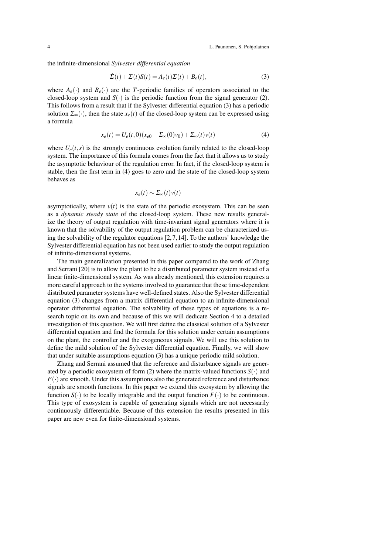the infinite-dimensional *Sylvester differential equation*

$$
\dot{\Sigma}(t) + \Sigma(t)S(t) = A_e(t)\Sigma(t) + B_e(t),
$$
\n(3)

where  $A_e(\cdot)$  and  $B_e(\cdot)$  are the *T*-periodic families of operators associated to the closed-loop system and  $S(\cdot)$  is the periodic function from the signal generator (2). This follows from a result that if the Sylvester differential equation (3) has a periodic solution  $\Sigma_{\infty}(\cdot)$ , then the state  $x_e(t)$  of the closed-loop system can be expressed using a formula

$$
x_e(t) = U_e(t,0)(x_{e0} - \Sigma_\infty(0)v_0) + \Sigma_\infty(t)v(t)
$$
\n(4)

where  $U_e(t,s)$  is the strongly continuous evolution family related to the closed-loop system. The importance of this formula comes from the fact that it allows us to study the asymptotic behaviour of the regulation error. In fact, if the closed-loop system is stable, then the first term in (4) goes to zero and the state of the closed-loop system behaves as

$$
x_e(t) \sim \Sigma_\infty(t) v(t)
$$

asymptotically, where  $v(t)$  is the state of the periodic exosystem. This can be seen as a *dynamic steady state* of the closed-loop system. These new results generalize the theory of output regulation with time-invariant signal generators where it is known that the solvability of the output regulation problem can be characterized using the solvability of the regulator equations  $[2, 7, 14]$ . To the authors' knowledge the Sylvester differential equation has not been used earlier to study the output regulation of infinite-dimensional systems.

The main generalization presented in this paper compared to the work of Zhang and Serrani [20] is to allow the plant to be a distributed parameter system instead of a linear finite-dimensional system. As was already mentioned, this extension requires a more careful approach to the systems involved to guarantee that these time-dependent distributed parameter systems have well-defined states. Also the Sylvester differential equation (3) changes from a matrix differential equation to an infinite-dimensional operator differential equation. The solvability of these types of equations is a research topic on its own and because of this we will dedicate Section 4 to a detailed investigation of this question. We will first define the classical solution of a Sylvester differential equation and find the formula for this solution under certain assumptions on the plant, the controller and the exogeneous signals. We will use this solution to define the mild solution of the Sylvester differential equation. Finally, we will show that under suitable assumptions equation (3) has a unique periodic mild solution.

Zhang and Serrani assumed that the reference and disturbance signals are generated by a periodic exosystem of form (2) where the matrix-valued functions  $S(\cdot)$  and  $F(\cdot)$  are smooth. Under this assumptions also the generated reference and disturbance signals are smooth functions. In this paper we extend this exosystem by allowing the function  $S(\cdot)$  to be locally integrable and the output function  $F(\cdot)$  to be continuous. This type of exosystem is capable of generating signals which are not necessarily continuously differentiable. Because of this extension the results presented in this paper are new even for finite-dimensional systems.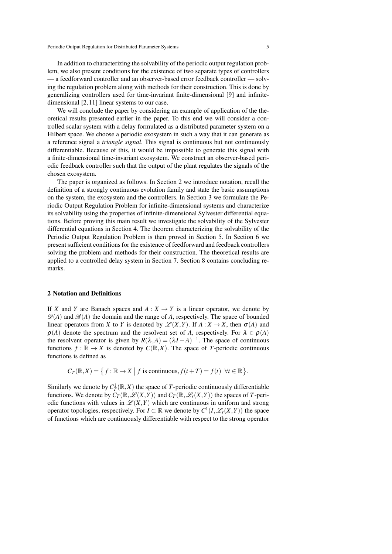In addition to characterizing the solvability of the periodic output regulation problem, we also present conditions for the existence of two separate types of controllers — a feedforward controller and an observer-based error feedback controller — solving the regulation problem along with methods for their construction. This is done by generalizing controllers used for time-invariant finite-dimensional [9] and infinitedimensional [2, 11] linear systems to our case.

We will conclude the paper by considering an example of application of the theoretical results presented earlier in the paper. To this end we will consider a controlled scalar system with a delay formulated as a distributed parameter system on a Hilbert space. We choose a periodic exosystem in such a way that it can generate as a reference signal a *triangle signal*. This signal is continuous but not continuously differentiable. Because of this, it would be impossible to generate this signal with a finite-dimensional time-invariant exosystem. We construct an observer-based periodic feedback controller such that the output of the plant regulates the signals of the chosen exosystem.

The paper is organized as follows. In Section 2 we introduce notation, recall the definition of a strongly continuous evolution family and state the basic assumptions on the system, the exosystem and the controllers. In Section 3 we formulate the Periodic Output Regulation Problem for infinite-dimensional systems and characterize its solvability using the properties of infinite-dimensional Sylvester differential equations. Before proving this main result we investigate the solvability of the Sylvester differential equations in Section 4. The theorem characterizing the solvability of the Periodic Output Regulation Problem is then proved in Section 5. In Section 6 we present sufficient conditions for the existence of feedforward and feedback controllers solving the problem and methods for their construction. The theoretical results are applied to a controlled delay system in Section 7. Section 8 contains concluding remarks.

#### 2 Notation and Definitions

If *X* and *Y* are Banach spaces and  $A: X \to Y$  is a linear operator, we denote by  $\mathscr{D}(A)$  and  $\mathscr{R}(A)$  the domain and the range of A, respectively. The space of bounded linear operators from *X* to *Y* is denoted by  $\mathscr{L}(X,Y)$ . If  $A: X \to X$ , then  $\sigma(A)$  and  $\rho(A)$  denote the spectrum and the resolvent set of A, respectively. For  $\lambda \in \rho(A)$ the resolvent operator is given by  $R(\lambda, A) = (\lambda I - A)^{-1}$ . The space of continuous functions  $f : \mathbb{R} \to X$  is denoted by  $C(\mathbb{R}, X)$ . The space of *T*-periodic continuous functions is defined as

$$
C_T(\mathbb{R},X) = \{ f : \mathbb{R} \to X \mid f \text{ is continuous}, f(t+T) = f(t) \ \forall t \in \mathbb{R} \}.
$$

Similarly we denote by  $C_T^1(\mathbb{R}, X)$  the space of *T*-periodic continuously differentiable functions. We denote by  $C_T(\mathbb{R}, \mathscr{L}(X, Y))$  and  $C_T(\mathbb{R}, \mathscr{L}_s(X, Y))$  the spaces of *T*-periodic functions with values in  $\mathcal{L}(X,Y)$  which are continuous in uniform and strong operator topologies, respectively. For  $I \subset \mathbb{R}$  we denote by  $C^1(I, \mathscr{L}_s(X, Y))$  the space of functions which are continuously differentiable with respect to the strong operator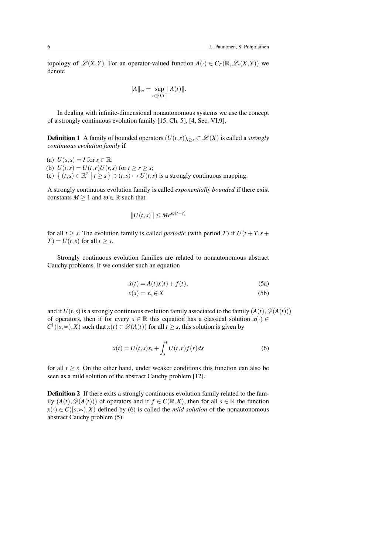topology of  $\mathscr{L}(X, Y)$ . For an operator-valued function  $A(\cdot) \in C_T(\mathbb{R}, \mathscr{L}_s(X, Y))$  we denote

$$
||A||_{\infty} = \sup_{t \in [0,T]} ||A(t)||.
$$

In dealing with infinite-dimensional nonautonomous systems we use the concept of a strongly continuous evolution family [15, Ch. 5], [4, Sec. VI.9].

**Definition 1** A family of bounded operators  $(U(t, s))_{t \geq s} \subset \mathcal{L}(X)$  is called a *strongly continuous evolution family* if

(a)  $U(s,s) = I$  for  $s \in \mathbb{R}$ ; (b)  $U(t, s) = U(t, r)U(r, s)$  for  $t \ge r \ge s$ ; (c)  $\{(t,s) \in \mathbb{R}^2 \mid t \ge s\} \ni (t,s) \mapsto U(t,s)$  is a strongly continuous mapping.

A strongly continuous evolution family is called *exponentially bounded* if there exist constants  $M \geq 1$  and  $\omega \in \mathbb{R}$  such that

$$
||U(t,s)|| \le Me^{\omega(t-s)}
$$

for all  $t \geq s$ . The evolution family is called *periodic* (with period *T*) if  $U(t + T, s + T)$  $T$ ) =  $U(t, s)$  for all  $t \geq s$ .

Strongly continuous evolution families are related to nonautonomous abstract Cauchy problems. If we consider such an equation

$$
\dot{x}(t) = A(t)x(t) + f(t),\tag{5a}
$$

$$
x(s) = x_s \in X \tag{5b}
$$

and if  $U(t, s)$  is a strongly continuous evolution family associated to the family  $(A(t), \mathcal{D}(A(t)))$ of operators, then if for every  $s \in \mathbb{R}$  this equation has a classical solution  $x(\cdot) \in$  $C^1([s, \infty), X)$  such that  $x(t) \in \mathcal{D}(A(t))$  for all  $t \geq s$ , this solution is given by

$$
x(t) = U(t,s)x_s + \int_s^t U(t,r)f(r)ds
$$
\n(6)

for all  $t \geq s$ . On the other hand, under weaker conditions this function can also be seen as a mild solution of the abstract Cauchy problem [12].

Definition 2 If there exits a strongly continuous evolution family related to the family  $(A(t), \mathcal{D}(A(t)))$  of operators and if  $f \in C(\mathbb{R}, X)$ , then for all  $s \in \mathbb{R}$  the function  $x(\cdot) \in C([s, \infty), X)$  defined by (6) is called the *mild solution* of the nonautonomous abstract Cauchy problem (5).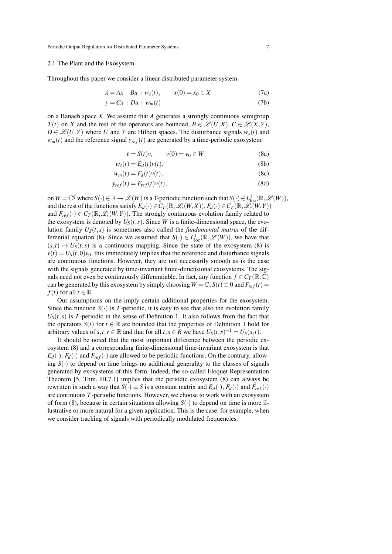#### 2.1 The Plant and the Exosystem

Throughout this paper we consider a linear distributed parameter system

$$
\dot{x} = Ax + Bu + w_s(t), \qquad x(0) = x_0 \in X \tag{7a}
$$

$$
y = Cx + Du + w_m(t) \tag{7b}
$$

on a Banach space *X*. We assume that *A* generates a strongly continuous semigroup *T*(*t*) on *X* and the rest of the operators are bounded,  $B \in \mathcal{L}(U,X)$ ,  $C \in \mathcal{L}(X,Y)$ ,  $D \in \mathcal{L}(U,Y)$  where *U* and *Y* are Hilbert spaces. The disturbance signals  $w_s(t)$  and  $w_m(t)$  and the reference signal  $y_{ref}(t)$  are generated by a time-periodic exosystem

$$
\dot{\nu} = S(t)\nu, \qquad \nu(0) = \nu_0 \in W \tag{8a}
$$

$$
w_s(t) = E_d(t)v(t),
$$
\n(8b)

$$
w_m(t) = F_d(t)v(t),
$$
\n(8c)

$$
y_{ref}(t) = F_{ref}(t)v(t),
$$
\n(8d)

on  $W = \mathbb{C}^q$  where  $S(\cdot) \in \mathbb{R} \to \mathscr{L}(W)$  is a T-periodic function such that  $S(\cdot) \in L^1_{loc}(\mathbb{R}, \mathscr{L}(W))$ , and the rest of the functions satisfy  $E_d(\cdot) \in C_T(\mathbb{R}, \mathscr{L}_s(W, X)), F_d(\cdot) \in C_T(\mathbb{R}, \mathscr{L}_s(W, Y))$ and  $F_{ref}(\cdot) \in C_T(\mathbb{R}, \mathscr{L}_s(W, Y))$ . The strongly continuous evolution family related to the exosystem is denoted by  $U_S(t, s)$ . Since *W* is a finite-dimensional space, the evolution family  $U_S(t,s)$  is sometimes also called the *fundamental matrix* of the differential equation (8). Since we assumed that  $S(\cdot) \in L^1_{loc}(\mathbb{R}, \mathscr{L}(W))$ , we have that  $(s,t) \mapsto U_s(t,s)$  is a continuous mapping. Since the state of the exosystem (8) is  $v(t) = U<sub>S</sub>(t,0)v<sub>0</sub>$ , this immediately implies that the reference and disturbance signals are continuous functions. However, they are not necessarily smooth as is the case with the signals generated by time-invariant finite-dimensional exosystems. The signals need not even be continuously differentiable. In fact, any function  $f \in C_T(\mathbb{R}, \mathbb{C})$ can be generated by this exosystem by simply choosing  $W = \mathbb{C}$ ,  $S(t) \equiv 0$  and  $F_{ref}(t) =$ *f*(*t*) for all *t*  $\in \mathbb{R}$ .

Our assumptions on the imply certain additional properties for the exosystem. Since the function  $S(\cdot)$  is *T*-periodic, it is easy to see that also the evolution family  $U<sub>S</sub>(t, s)$  is *T*-periodic in the sense of Definition 1. It also follows from the fact that the operators  $S(t)$  for  $t \in \mathbb{R}$  are bounded that the properties of Definition 1 hold for arbitrary values of  $s, t, r \in \mathbb{R}$  and that for all  $t, s \in R$  we have  $U_S(t, s)^{-1} = U_S(s, t)$ .

It should be noted that the most important difference between the periodic exosystem (8) and a corresponding finite-dimensional time-invariant exosystem is that  $E_d(\cdot)$ ,  $F_d(\cdot)$  and  $F_{ref}(\cdot)$  are allowed to be periodic functions. On the contrary, allowing  $S(\cdot)$  to depend on time brings no additional generality to the classes of signals generated by exosystems of this form. Indeed, the so-called Floquet Representation Theorem [5, Thm. III.7.1] implies that the periodic exosystem (8) can always be rewritten in such a way that  $\tilde{S}(\cdot) \equiv \tilde{S}$  is a constant matrix and  $\tilde{E}_d(\cdot)$ ,  $\tilde{F}_d(\cdot)$  and  $\tilde{F}_{ref}(\cdot)$ are continuous *T*-periodic functions. However, we choose to work with an exosystem of form (8), because in certain situations allowing  $S(\cdot)$  to depend on time is more illustrative or more natural for a given application. This is the case, for example, when we consider tracking of signals with periodically modulated frequencies.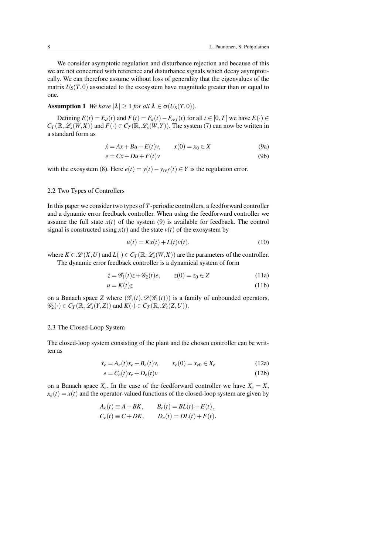We consider asymptotic regulation and disturbance rejection and because of this we are not concerned with reference and disturbance signals which decay asymptotically. We can therefore assume without loss of generality that the eigenvalues of the matrix  $U_S(T,0)$  associated to the exosystem have magnitude greater than or equal to one.

# **Assumption 1** *We have*  $|\lambda| \ge 1$  *for all*  $\lambda \in \sigma(U_S(T,0))$ *.*

Defining  $E(t) = E_d(t)$  and  $F(t) = F_d(t) - F_{ref}(t)$  for all  $t \in [0, T]$  we have  $E(\cdot) \in$  $C_T(\mathbb{R}, \mathscr{L}_s(W, X))$  and  $F(\cdot) \in C_T(\mathbb{R}, \mathscr{L}_s(W, Y))$ . The system (7) can now be written in a standard form as

$$
\dot{x} = Ax + Bu + E(t)v, \qquad x(0) = x_0 \in X \tag{9a}
$$

$$
e = Cx + Du + F(t)v \tag{9b}
$$

with the exosystem (8). Here  $e(t) = y(t) - y_{ref}(t) \in Y$  is the regulation error.

## 2.2 Two Types of Controllers

In this paper we consider two types of *T*-periodic controllers, a feedforward controller and a dynamic error feedback controller. When using the feedforward controller we assume the full state  $x(t)$  of the system (9) is available for feedback. The control signal is constructed using  $x(t)$  and the state  $v(t)$  of the exosystem by

$$
u(t) = Kx(t) + L(t)v(t),
$$
\n(10)

where  $K \in \mathcal{L}(X, U)$  and  $L(\cdot) \in C_T(\mathbb{R}, \mathcal{L}_s(W, X))$  are the parameters of the controller. The dynamic error feedback controller is a dynamical system of form

$$
\begin{aligned}\n\dot{z} &= \mathcal{G}_1(t)z + \mathcal{G}_2(t)e, & z(0) &= z_0 \in Z \\
u &= K(t)z\n\end{aligned} \tag{11a}
$$

on a Banach space *Z* where  $(\mathscr{G}_1(t), \mathscr{D}(\mathscr{G}_1(t)))$  is a family of unbounded operators,  $\mathscr{G}_2(\cdot) \in C_T(\mathbb{R}, \mathscr{L}_s(Y, Z))$  and  $K(\cdot) \in C_T(\mathbb{R}, \mathscr{L}_s(Z, U)).$ 

#### 2.3 The Closed-Loop System

The closed-loop system consisting of the plant and the chosen controller can be written as

$$
\dot{x}_e = A_e(t)x_e + B_e(t)v, \qquad x_e(0) = x_{e0} \in X_e \tag{12a}
$$

$$
e = C_e(t)x_e + D_e(t)v
$$
\n(12b)

on a Banach space  $X_e$ . In the case of the feedforward controller we have  $X_e = X$ ,  $x_e(t) = x(t)$  and the operator-valued functions of the closed-loop system are given by

$$
A_e(t) \equiv A + BK, \qquad B_e(t) = BL(t) + E(t),
$$
  
\n
$$
C_e(t) \equiv C + DK, \qquad D_e(t) = DL(t) + F(t).
$$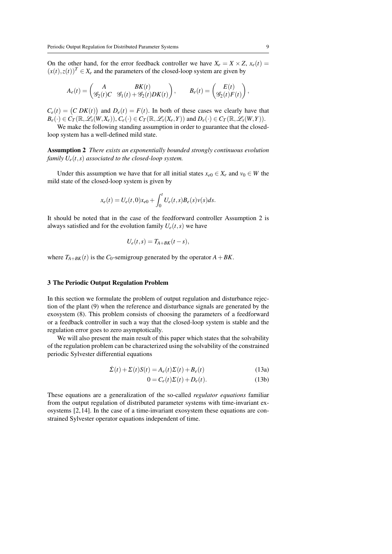On the other hand, for the error feedback controller we have  $X_e = X \times Z$ ,  $x_e(t) =$  $(x(t),z(t))^T \in X_e$  and the parameters of the closed-loop system are given by

$$
A_e(t) = \begin{pmatrix} A & BK(t) \\ \mathscr{G}_2(t)C & \mathscr{G}_1(t) + \mathscr{G}_2(t)DK(t) \end{pmatrix}, \qquad B_e(t) = \begin{pmatrix} E(t) \\ \mathscr{G}_2(t)F(t) \end{pmatrix},
$$

 $C_e(t) = (C D K(t))$  and  $D_e(t) = F(t)$ . In both of these cases we clearly have that  $B_e(\cdot) \in C_T(\mathbb{R},\mathscr{L}_s(W,X_e)), C_e(\cdot) \in C_T(\mathbb{R},\mathscr{L}_s(X_e,Y))$  and  $D_e(\cdot) \in C_T(\mathbb{R},\mathscr{L}_s(W,Y)).$ 

We make the following standing assumption in order to guarantee that the closedloop system has a well-defined mild state.

Assumption 2 *There exists an exponentially bounded strongly continuous evolution family*  $U_e(t,s)$  *associated to the closed-loop system.* 

Under this assumption we have that for all initial states  $x_{e0} \in X_e$  and  $v_0 \in W$  the mild state of the closed-loop system is given by

$$
x_e(t) = U_e(t,0)x_{e0} + \int_0^t U_e(t,s)B_e(s)v(s)ds.
$$

It should be noted that in the case of the feedforward controller Assumption 2 is always satisfied and for the evolution family  $U_e(t,s)$  we have

$$
U_e(t,s)=T_{A+BK}(t-s),
$$

where  $T_{A+BK}(t)$  is the  $C_0$ -semigroup generated by the operator  $A+BK$ .

#### 3 The Periodic Output Regulation Problem

In this section we formulate the problem of output regulation and disturbance rejection of the plant (9) when the reference and disturbance signals are generated by the exosystem (8). This problem consists of choosing the parameters of a feedforward or a feedback controller in such a way that the closed-loop system is stable and the regulation error goes to zero asymptotically.

We will also present the main result of this paper which states that the solvability of the regulation problem can be characterized using the solvability of the constrained periodic Sylvester differential equations

$$
\dot{\Sigma}(t) + \Sigma(t)S(t) = A_e(t)\Sigma(t) + B_e(t)
$$
\n(13a)

$$
0 = C_e(t)\Sigma(t) + D_e(t).
$$
 (13b)

These equations are a generalization of the so-called *regulator equations* familiar from the output regulation of distributed parameter systems with time-invariant exosystems [2, 14]. In the case of a time-invariant exosystem these equations are constrained Sylvester operator equations independent of time.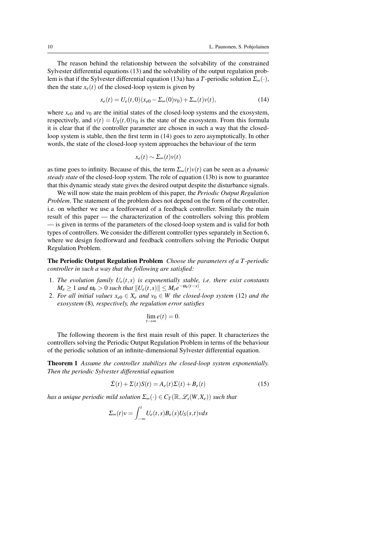The reason behind the relationship between the solvability of the constrained Sylvester differential equations (13) and the solvability of the output regulation problem is that if the Sylvester differential equation (13a) has a *T*-periodic solution  $\Sigma_{\infty}(\cdot)$ , then the state  $x_e(t)$  of the closed-loop system is given by

$$
x_e(t) = U_e(t,0)(x_{e0} - \Sigma_\infty(0)v_0) + \Sigma_\infty(t)v(t),
$$
\n(14)

where  $x_{e0}$  and  $y_0$  are the initial states of the closed-loop systems and the exosystem, respectively, and  $v(t) = U_s(t,0)v_0$  is the state of the exosystem. From this formula it is clear that if the controller parameter are chosen in such a way that the closedloop system is stable, then the first term in (14) goes to zero asymptotically. In other words, the state of the closed-loop system approaches the behaviour of the term

$$
x_e(t) \sim \Sigma_\infty(t) v(t)
$$

as time goes to infinity. Because of this, the term  $\Sigma_{\infty}(t)v(t)$  can be seen as a *dynamic steady state* of the closed-loop system. The role of equation (13b) is now to guarantee that this dynamic steady state gives the desired output despite the disturbance signals.

We will now state the main problem of this paper, the *Periodic Output Regulation Problem*. The statement of the problem does not depend on the form of the controller, i.e. on whether we use a feedforward of a feedback controller. Similarly the main result of this paper — the characterization of the controllers solving this problem — is given in terms of the parameters of the closed-loop system and is valid for both types of controllers. We consider the different controller types separately in Section 6, where we design feedforward and feedback controllers solving the Periodic Output Regulation Problem.

The Periodic Output Regulation Problem *Choose the parameters of a T -periodic controller in such a way that the following are satisfied:*

- 1. The evolution family  $U_e(t,s)$  is exponentially stable, i.e. there exist constants  $M_e \geq 1$  *and*  $\omega_e > 0$  *such that*  $||U_e(t,s)|| \leq M_e e^{-\omega_e(t-s)}$ .
- 2. *For all initial values*  $x_{e0} \in X_e$  *and*  $v_0 \in W$  *the closed-loop system* (12) *and the exosystem* (8)*, respectively, the regulation error satisfies*

$$
\lim_{t\to\infty}e(t)=0.
$$

The following theorem is the first main result of this paper. It characterizes the controllers solving the Periodic Output Regulation Problem in terms of the behaviour of the periodic solution of an infinite-dimensional Sylvester differential equation.

Theorem 1 *Assume the controller stabilizes the closed-loop system exponentially. Then the periodic Sylvester differential equation*

$$
\dot{\Sigma}(t) + \Sigma(t)S(t) = A_e(t)\Sigma(t) + B_e(t)
$$
\n(15)

*has a unique periodic mild solution*  $\Sigma_{\infty}(\cdot) \in C_{T}(\mathbb{R},\mathscr{L}_{s}(W,X_{e}))$  *such that* 

$$
\Sigma_{\infty}(t)v = \int_{-\infty}^{t} U_e(t,s)B_e(s)U_S(s,t)vds
$$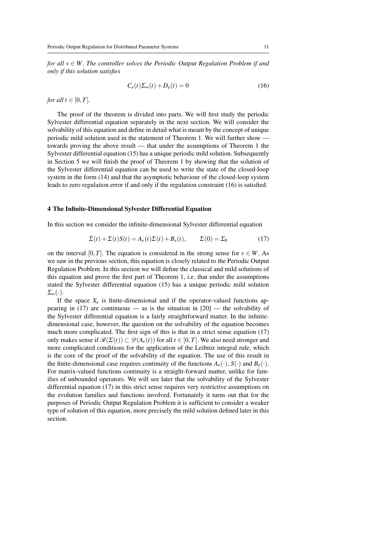*for all v* ∈ *W. The controller solves the Periodic Output Regulation Problem if and only if this solution satisfies*

$$
C_e(t)\Sigma_{\infty}(t) + D_e(t) = 0\tag{16}
$$

*for all*  $t \in [0, T]$ *.* 

The proof of the theorem is divided into parts. We will first study the periodic Sylvester differential equation separately in the next section. We will consider the solvability of this equation and define in detail what is meant by the concept of unique periodic mild solution used in the statement of Theorem 1. We will further show towards proving the above result — that under the assumptions of Theorem 1 the Sylvester differential equation (15) has a unique periodic mild solution. Subsequently in Section 5 we will finish the proof of Theorem 1 by showing that the solution of the Sylvester differential equation can be used to write the state of the closed-loop system in the form (14) and that the asymptotic behaviour of the closed-loop system leads to zero regulation error if and only if the regulation constraint (16) is satisfied.

#### 4 The Infinite-Dimensional Sylvester Differential Equation

In this section we consider the infinite-dimensional Sylvester differential equation

$$
\dot{\Sigma}(t) + \Sigma(t)S(t) = A_e(t)\Sigma(t) + B_e(t), \qquad \Sigma(0) = \Sigma_0
$$
\n(17)

on the interval [0,*T*]. The equation is considered in the strong sense for  $v \in W$ . As we saw in the previous section, this equation is closely related to the Periodic Output Regulation Problem. In this section we will define the classical and mild solutions of this equation and prove the first part of Theorem 1, i.e. that under the assumptions stated the Sylvester differential equation (15) has a unique periodic mild solution  $\Sigma_{\infty}(\cdot).$ 

If the space  $X_e$  is finite-dimensional and if the operator-valued functions appearing in (17) are continuous — as is the situation in  $[20]$  — the solvability of the Sylvester differential equation is a fairly straightforward matter. In the infinitedimensional case, however, the question on the solvability of the equation becomes much more complicated. The first sign of this is that in a strict sense equation (17) only makes sense if  $\mathcal{R}(\Sigma(t)) \subset \mathcal{D}(A_e(t))$  for all  $t \in [0,T]$ . We also need stronger and more complicated conditions for the application of the Leibniz integral rule, which is the core of the proof of the solvability of the equation. The use of this result in the finite-dimensional case requires continuity of the functions  $A_e(\cdot)$ ,  $S(\cdot)$  and  $B_e(\cdot)$ . For matrix-valued functions continuity is a straight-forward matter, unlike for families of unbounded operators. We will see later that the solvability of the Sylvester differential equation (17) in this strict sense requires very restrictive assumptions on the evolution families and functions involved. Fortunately it turns out that for the purposes of Periodic Output Regulation Problem it is sufficient to consider a weaker type of solution of this equation, more precisely the mild solution defined later in this section.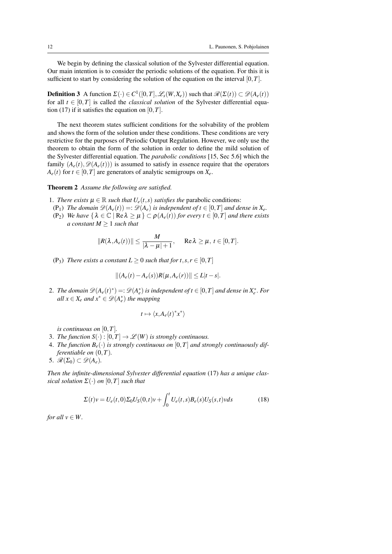We begin by defining the classical solution of the Sylvester differential equation. Our main intention is to consider the periodic solutions of the equation. For this it is sufficient to start by considering the solution of the equation on the interval  $[0, T]$ .

**Definition 3** A function  $\Sigma(\cdot) \in C^1([0, T], \mathcal{L}_s(W, X_e))$  such that  $\mathcal{R}(\Sigma(t)) \subset \mathcal{D}(A_e(t))$ for all  $t \in [0, T]$  is called the *classical solution* of the Sylvester differential equation (17) if it satisfies the equation on  $[0, T]$ .

The next theorem states sufficient conditions for the solvability of the problem and shows the form of the solution under these conditions. These conditions are very restrictive for the purposes of Periodic Output Regulation. However, we only use the theorem to obtain the form of the solution in order to define the mild solution of the Sylvester differential equation. The *parabolic conditions* [15, Sec 5.6] which the family  $(A_e(t), \mathcal{D}(A_e(t)))$  is assumed to satisfy in essence require that the operators  $A_e(t)$  for  $t \in [0, T]$  are generators of analytic semigroups on  $X_e$ .

### Theorem 2 *Assume the following are satisfied.*

- 1. *There exists*  $\mu \in \mathbb{R}$  *such that*  $U_e(t, s)$  *satisfies the* parabolic conditions:
- (P<sub>1</sub>) *The domain*  $\mathcal{D}(A_e(t)) = \mathcal{D}(A_e)$  *is independent of t*  $\in [0, T]$  *and dense in*  $X_e$ *.*
- (P<sub>2</sub>) *We have*  $\{\lambda \in \mathbb{C} \mid \text{Re }\lambda \geq \mu\} \subset \rho(A_e(t))$  *for every*  $t \in [0, T]$  *and there exists a constant*  $M \geq 1$  *such that*

$$
||R(\lambda, A_e(t))|| \leq \frac{M}{|\lambda - \mu| + 1}, \quad \text{Re}\lambda \geq \mu, t \in [0, T].
$$

(P<sub>3</sub>) *There exists a constant*  $L \geq 0$  *such that for*  $t, s, r \in [0, T]$ 

$$
||(A_e(t) - A_e(s))R(\mu, A_e(r))|| \le L|t - s|.
$$

2. *The domain*  $\mathscr{D}(A_e(t)^*) = \mathscr{D}(A_e^*)$  *is independent of t*  $\in [0, T]$  *and dense in*  $X_e^*$ *. For*  $all x \in X_e$  *and*  $x^* \in \mathscr{D}(A_e^*)$  *the mapping* 

$$
t\mapsto \langle x, A_e(t)^*x^*\rangle
$$

*is continuous on* [0,*T*]*.*

- 3. *The function*  $S(\cdot) : [0, T] \to \mathcal{L}(W)$  *is strongly continuous.*
- 4. The function  $B_e(\cdot)$  is strongly continuous on  $[0, T]$  and strongly continuously dif*ferentiable on* (0,*T*)*.*
- 5.  $\mathscr{R}(\Sigma_0) \subset \mathscr{D}(A_e)$ .

*Then the infinite-dimensional Sylvester differential equation* (17) *has a unique classical solution*  $\Sigma(\cdot)$  *on*  $[0, T]$  *such that* 

$$
\Sigma(t)v = U_e(t,0)\Sigma_0 U_S(0,t)v + \int_0^t U_e(t,s)B_e(s)U_S(s,t)vds
$$
\n(18)

*for all*  $v \in W$ .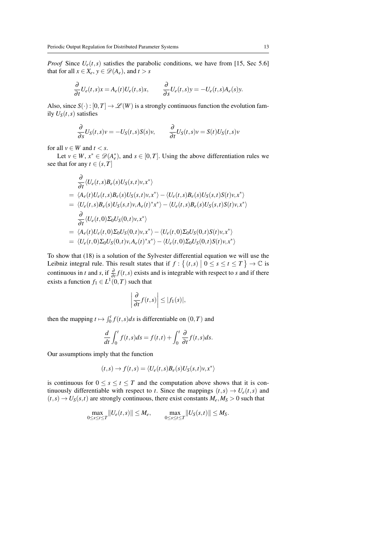*Proof* Since  $U_e(t, s)$  satisfies the parabolic conditions, we have from [15, Sec 5.6] that for all  $x \in X_e$ ,  $y \in \mathcal{D}(A_e)$ , and  $t > s$ 

$$
\frac{\partial}{\partial t}U_e(t,s)x = A_e(t)U_e(t,s)x, \qquad \frac{\partial}{\partial s}U_e(t,s)y = -U_e(t,s)A_e(s)y.
$$

Also, since  $S(\cdot): [0, T] \to \mathscr{L}(W)$  is a strongly continuous function the evolution family  $U_S(t,s)$  satisfies

$$
\frac{\partial}{\partial s}U_S(t,s)v = -U_S(t,s)S(s)v, \qquad \frac{\partial}{\partial t}U_S(t,s)v = S(t)U_S(t,s)v
$$

for all  $v \in W$  and  $t < s$ .

Let  $v \in W$ ,  $x^* \in \mathscr{D}(A_e^*)$ , and  $s \in [0, T]$ . Using the above differentiation rules we see that for any  $t \in (s, T]$ 

$$
\frac{\partial}{\partial t} \langle U_e(t,s)B_e(s)U_S(s,t)v, x^* \rangle
$$
\n
$$
= \langle A_e(t)U_e(t,s)B_e(s)U_S(s,t)v, x^* \rangle - \langle U_e(t,s)B_e(s)U_S(s,t)S(t)v, x^* \rangle
$$
\n
$$
= \langle U_e(t,s)B_e(s)U_S(s,t)v, A_e(t)^*x^* \rangle - \langle U_e(t,s)B_e(s)U_S(s,t)S(t)v, x^* \rangle
$$
\n
$$
\frac{\partial}{\partial t} \langle U_e(t,0)\Sigma_0U_S(0,t)v, x^* \rangle
$$
\n
$$
= \langle A_e(t)U_e(t,0)\Sigma_0U_S(0,t)v, x^* \rangle - \langle U_e(t,0)\Sigma_0U_S(0,t)S(t)v, x^* \rangle
$$
\n
$$
= \langle U_e(t,0)\Sigma_0U_S(0,t)v, A_e(t)^*x^* \rangle - \langle U_e(t,0)\Sigma_0U_S(0,t)S(t)v, x^* \rangle
$$

To show that (18) is a solution of the Sylvester differential equation we will use the Leibniz integral rule. This result states that if  $f: \{(t,s) \mid 0 \le s \le t \le T\} \to \mathbb{C}$  is continuous in *t* and *s*, if  $\frac{\partial}{\partial t} f(t, s)$  exists and is integrable with respect to *s* and if there exists a function  $f_1 \in L^1(0,T)$  such that

$$
\left|\frac{\partial}{\partial t}f(t,s)\right| \leq |f_1(s)|,
$$

then the mapping  $t \mapsto \int_0^t f(t,s)ds$  is differentiable on  $(0,T)$  and

$$
\frac{d}{dt} \int_0^t f(t,s)ds = f(t,t) + \int_0^t \frac{\partial}{\partial t} f(t,s)ds.
$$

Our assumptions imply that the function

$$
(t,s) \rightarrow f(t,s) = \langle U_e(t,s)B_e(s)U_S(s,t)v, x^* \rangle
$$

is continuous for  $0 \le s \le t \le T$  and the computation above shows that it is continuously differentiable with respect to *t*. Since the mappings  $(t,s) \rightarrow U_e(t,s)$  and  $(t,s) \rightarrow U_S(s,t)$  are strongly continuous, there exist constants  $M_e, M_S > 0$  such that

$$
\max_{0 \le s \le t \le T} ||U_e(t,s)|| \le M_e, \qquad \max_{0 \le s \le t \le T} ||U_S(s,t)|| \le M_S.
$$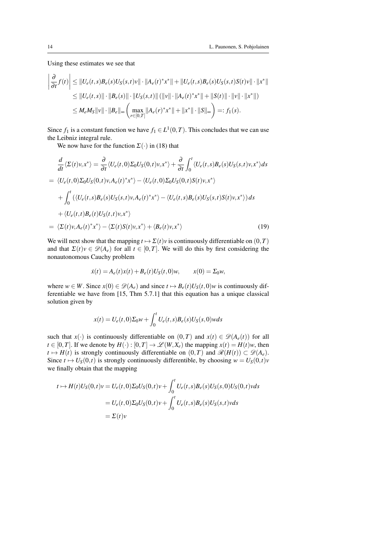Using these estimates we see that

$$
\left| \frac{\partial}{\partial t} f(t) \right| \leq ||U_e(t, s)B_e(s)U_S(s, t)v|| \cdot ||A_e(t)^* x^*|| + ||U_e(t, s)B_e(s)U_S(s, t)S(t)v|| \cdot ||x^*||
$$
  
\n
$$
\leq ||U_e(t, s)|| \cdot ||B_e(s)|| \cdot ||U_S(s, t)|| (||v|| \cdot ||A_e(t)^* x^*|| + ||S(t)|| \cdot ||v|| \cdot ||x^*||)
$$
  
\n
$$
\leq M_e M_S ||v|| \cdot ||B_e||_{\infty} \left( \max_{r \in [0, T]} ||A_e(r)^* x^*|| + ||x^*|| \cdot ||S||_{\infty} \right) =: f_1(s).
$$

Since  $f_1$  is a constant function we have  $f_1 \in L^1(0,T)$ . This concludes that we can use the Leibniz integral rule.

We now have for the function  $\Sigma(\cdot)$  in (18) that

$$
\frac{d}{dt}\langle \Sigma(t)v, x^* \rangle = \frac{\partial}{\partial t} \langle U_e(t, 0) \Sigma_0 U_S(0, t)v, x^* \rangle + \frac{\partial}{\partial t} \int_0^t \langle U_e(t, s) B_e(s) U_S(s, t)v, x^* \rangle ds
$$
\n
$$
= \langle U_e(t, 0) \Sigma_0 U_S(0, t)v, A_e(t)^* x^* \rangle - \langle U_e(t, 0) \Sigma_0 U_S(0, t) S(t)v, x^* \rangle
$$
\n
$$
+ \int_0^t \langle \langle U_e(t, s) B_e(s) U_S(s, t)v, A_e(t)^* x^* \rangle - \langle U_e(t, s) B_e(s) U_S(s, t) S(t)v, x^* \rangle ds
$$
\n
$$
+ \langle U_e(t, t) B_e(t) U_S(t, t)v, x^* \rangle
$$
\n
$$
= \langle \Sigma(t)v, A_e(t)^* x^* \rangle - \langle \Sigma(t) S(t)v, x^* \rangle + \langle B_e(t)v, x^* \rangle
$$
\n(19)

We will next show that the mapping  $t \mapsto \Sigma(t)v$  is continuously differentiable on  $(0,T)$ and that  $\Sigma(t)v \in \mathscr{D}(A_e)$  for all  $t \in [0,T]$ . We will do this by first considering the nonautonomous Cauchy problem

$$
\dot{x}(t) = A_e(t)x(t) + B_e(t)U_s(t,0)w, \qquad x(0) = \Sigma_0 w,
$$

where  $w \in W$ . Since  $x(0) \in \mathcal{D}(A_e)$  and since  $t \mapsto B_e(t)U_s(t,0)w$  is continuously differentiable we have from [15, Thm 5.7.1] that this equation has a unique classical solution given by

$$
x(t) = U_e(t,0)\Sigma_0 w + \int_0^t U_e(t,s)B_e(s)U_s(s,0)wds
$$

such that *x*(·) is continuously differentiable on  $(0,T)$  and  $x(t) \in \mathcal{D}(A_e(t))$  for all  $t \in [0, T]$ . If we denote by  $H(\cdot) : [0, T] \to \mathcal{L}(W, X_e)$  the mapping  $x(t) = H(t)w$ , then  $t \mapsto H(t)$  is strongly continuously differentiable on  $(0,T)$  and  $\mathcal{R}(H(t)) \subset \mathcal{D}(A_e)$ . Since  $t \mapsto U_s(0,t)$  is strongly continuously differentible, by choosing  $w = U_s(0,t)v$ we finally obtain that the mapping

$$
t \mapsto H(t)U_S(0,t)v = U_e(t,0)\Sigma_0U_S(0,t)v + \int_0^t U_e(t,s)B_e(s)U_S(s,0)U_S(0,t)vds
$$
  
= 
$$
U_e(t,0)\Sigma_0U_S(0,t)v + \int_0^t U_e(t,s)B_e(s)U_S(s,t)vds
$$
  
= 
$$
\Sigma(t)v
$$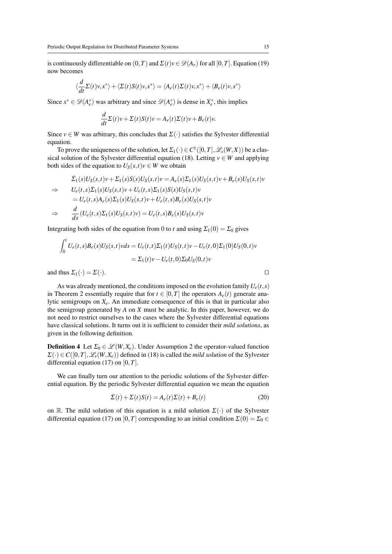is continuously differentiable on  $(0,T)$  and  $\Sigma(t)v \in \mathcal{D}(A_e)$  for all  $[0,T]$ . Equation (19) now becomes

$$
\langle \frac{d}{dt} \Sigma(t) v, x^* \rangle + \langle \Sigma(t) S(t) v, x^* \rangle = \langle A_e(t) \Sigma(t) v, x^* \rangle + \langle B_e(t) v, x^* \rangle
$$

Since  $x^* \in \mathcal{D}(A_e^*)$  was arbitrary and since  $\mathcal{D}(A_e^*)$  is dense in  $X_e^*$ , this implies

$$
\frac{d}{dt}\Sigma(t)v + \Sigma(t)S(t)v = A_e(t)\Sigma(t)v + B_e(t)v.
$$

Since  $v \in W$  was arbitrary, this concludes that  $\Sigma(\cdot)$  satisfies the Sylvester differential equation.

To prove the uniqueness of the solution, let  $\Sigma_1(\cdot) \in C^1([0,T], \mathscr{L}_s(W,X))$  be a classical solution of the Sylvester differential equation (18). Letting  $v \in W$  and applying both sides of the equation to  $U_S(s,t)v \in W$  we obtain

$$
\Sigma_1(s)U_S(s,t)v + \Sigma_1(s)S(s)U_S(s,t)v = A_e(s)\Sigma_1(s)U_S(s,t)v + B_e(s)U_S(s,t)v
$$
\n
$$
\Rightarrow \qquad U_e(t,s)\Sigma_1(s)U_S(s,t)v + U_e(t,s)\Sigma_1(s)S(s)U_S(s,t)v
$$
\n
$$
= U_e(t,s)A_e(s)\Sigma_1(s)U_S(s,t)v + U_e(t,s)B_e(s)U_S(s,t)v
$$
\n
$$
\Rightarrow \qquad \frac{d}{ds}(U_e(t,s)\Sigma_1(s)U_S(s,t)v) = U_e(t,s)B_e(s)U_S(s,t)v
$$

Integrating both sides of the equation from 0 to *t* and using  $\Sigma_1(0) = \Sigma_0$  gives

$$
\int_0^t U_e(t,s)B_e(s)U_S(s,t)vds = U_e(t,t)\Sigma_1(t)U_S(t,t)v - U_e(t,0)\Sigma_1(0)U_S(0,t)v
$$
  
=  $\Sigma_1(t)v - U_e(t,0)\Sigma_0U_S(0,t)v$ 

and thus  $\Sigma_1(\cdot) = \Sigma(\cdot)$ .

As was already mentioned, the conditions imposed on the evolution family  $U_e(t,s)$ in Theorem 2 essentially require that for  $t \in [0, T]$  the operators  $A_e(t)$  generate analytic semigroups on *Xe*. An immediate consequence of this is that in particular also the semigroup generated by *A* on *X* must be analytic. In this paper, however, we do not need to restrict ourselves to the cases where the Sylvester differential equations have classical solutions. It turns out it is sufficient to consider their *mild solutions*, as given in the following definition.

**Definition 4** Let  $\Sigma_0 \in \mathcal{L}(W, X_e)$ . Under Assumption 2 the operator-valued function  $\Sigma(\cdot) \in C([0,T], \mathcal{L}_s(W,X_e))$  defined in (18) is called the *mild solution* of the Sylvester differential equation (17) on [0,*T*].

We can finally turn our attention to the periodic solutions of the Sylvester differential equation. By the periodic Sylvester differential equation we mean the equation

$$
\dot{\Sigma}(t) + \Sigma(t)S(t) = A_e(t)\Sigma(t) + B_e(t)
$$
\n(20)

on R. The mild solution of this equation is a mild solution  $\Sigma(\cdot)$  of the Sylvester differential equation (17) on [0,*T*] corresponding to an initial condition  $\Sigma(0) = \Sigma_0 \in$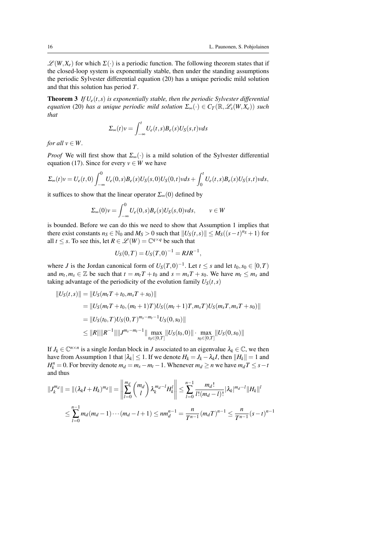$\mathscr{L}(W,X_e)$  for which  $\Sigma(\cdot)$  is a periodic function. The following theorem states that if the closed-loop system is exponentially stable, then under the standing assumptions the periodic Sylvester differential equation (20) has a unique periodic mild solution and that this solution has period *T*.

**Theorem 3** If  $U_e(t,s)$  is exponentially stable, then the periodic Sylvester differential *equation* (20) *has a unique periodic mild solution*  $\Sigma_{\infty}(\cdot) \in C_{\mathcal{T}}(\mathbb{R},\mathscr{L}_{s}(W,X_{e}))$  *such that*

$$
\Sigma_{\infty}(t)v = \int_{-\infty}^{t} U_e(t,s)B_e(s)U_s(s,t)vds
$$

*for all*  $v \in W$ .

*Proof* We will first show that  $\Sigma_{\infty}(\cdot)$  is a mild solution of the Sylvester differential equation (17). Since for every  $v \in W$  we have

$$
\Sigma_{\infty}(t)v = U_e(t,0)\int_{-\infty}^0 U_e(0,s)B_e(s)U_S(s,0)U_S(0,t)vds + \int_0^t U_e(t,s)B_e(s)U_S(s,t)vds,
$$

it suffices to show that the linear operator  $\Sigma_{\infty}(0)$  defined by

$$
\Sigma_{\infty}(0)v = \int_{-\infty}^{0} U_e(0,s)B_e(s)U_S(s,0)vds, \qquad v \in W
$$

is bounded. Before we can do this we need to show that Assumption 1 implies that there exist constants  $n_S \in \mathbb{N}_0$  and  $M_S > 0$  such that  $||U_S(t, s)|| \leq M_S((s-t)^{n_S} + 1)$  for all  $t \leq s$ . To see this, let  $R \in \mathcal{L}(W) = \mathbb{C}^{q \times q}$  be such that

$$
U_S(0,T) = U_S(T,0)^{-1} = RJR^{-1},
$$

where *J* is the Jordan canonical form of  $U_S(T,0)^{-1}$ . Let  $t \leq s$  and let  $t_0, s_0 \in [0,T)$ and  $m_t, m_s \in \mathbb{Z}$  be such that  $t = m_t T + t_0$  and  $s = m_s T + s_0$ . We have  $m_t \leq m_s$  and taking advantage of the periodicity of the evolution family  $U_S(t,s)$ 

$$
||U_S(t,s)|| = ||U_S(m_t T + t_0, m_s T + s_0)||
$$
  
=  $||U_S(m_t T + t_0, (m_t + 1)T)U_S((m_t + 1)T, m_s T)U_S(m_s T, m_s T + s_0)||$   
=  $||U_S(t_0, T)U_S(0, T)^{m_s - m_t - 1}U_S(0, s_0)||$   
 $\le ||R|| ||R^{-1}|| ||J^{m_s - m_t - 1}|| \max_{t_0 \in [0, T]} ||U_S(t_0, 0)|| \cdot \max_{s_0 \in [0, T]} ||U_S(0, s_0)||$ 

If  $J_k \in \mathbb{C}^{n \times n}$  is a single Jordan block in *J* associated to an eigenvalue  $\lambda_k \in \mathbb{C}$ , we then have from Assumption 1 that  $|\lambda_k| \leq 1$ . If we denote  $H_k = J_k - \lambda_k I$ , then  $\|H_k\| = 1$  and  $H_k^n = 0$ . For brevity denote  $m_d = m_s - m_t - 1$ . Whenever  $m_d \ge n$  we have  $m_d T \le s - t$ and thus

$$
||J_k^{m_d}|| = ||(\lambda_k I + H_k)^{m_d}|| = \left\| \sum_{l=0}^{m_d} {m_d \choose l} \lambda_k^{m_d-l} H_k^l \right\| \le \sum_{l=0}^{n-1} \frac{m_d!}{l!(m_d-l)!} |\lambda_k|^{m_d-l} ||H_k||^l
$$
  

$$
\le \sum_{l=0}^{n-1} m_d (m_d-1) \cdots (m_d-l+1) \le nm_d^{n-1} = \frac{n}{T^{n-1}} (m_d T)^{n-1} \le \frac{n}{T^{n-1}} (s-t)^{n-1}
$$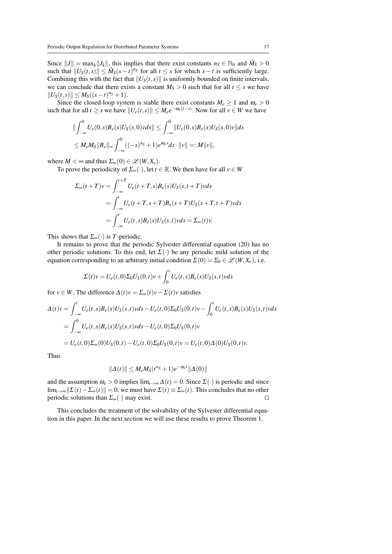Since  $||J|| = \max_k ||J_k||$ , this implies that there exist constants  $n_S \in \mathbb{N}_0$  and  $\tilde{M}_S > 0$ such that  $||U_S(t,s)|| \leq \tilde{M}_S(s-t)^{n_S}$  for all  $t \leq s$  for which  $s-t$  is sufficiently large. Combining this with the fact that  $||U_S(t,s)||$  is uniformly bounded on finite intervals, we can conclude that there exists a constant  $M_S > 0$  such that for all  $t \leq s$  we have  $||U_S(t,s)|| \leq M_S((s-t)^{n_S}+1).$ 

Since the closed-loop system is stable there exist constants  $M_e \geq 1$  and  $\omega_e > 0$ such that for all  $t \geq s$  we have  $||U_e(t,s)|| \leq M_e e^{-\omega_e(t-s)}$ . Now for all  $v \in W$  we have

$$
\|\int_{-\infty}^{0} U_e(0,s)B_e(s)U_S(s,0) vds\| \leq \int_{-\infty}^{0} \|U_e(0,s)B_e(s)U_S(s,0)v\|ds
$$
  

$$
\leq M_e M_S \|B_e\|_{\infty} \int_{-\infty}^{0} ((-s)^{n_S} + 1)e^{\omega_e s} ds \cdot ||v|| =: M||v||,
$$

where  $M < \infty$  and thus  $\Sigma_{\infty}(0) \in \mathcal{L}(W, X_e)$ .

To prove the periodicity of  $\Sigma_{\infty}(\cdot)$ , let  $t \in \mathbb{R}$ . We then have for all  $v \in W$ 

$$
\Sigma_{\infty}(t+T)v = \int_{-\infty}^{t+T} U_e(t+T,s)B_e(s)U_S(s,t+T)vds
$$
  
= 
$$
\int_{-\infty}^t U_e(t+T,s+T)B_e(s+T)U_S(s+T,t+T)vds
$$
  
= 
$$
\int_{-\infty}^t U_e(t,s)B_e(s)U_S(s,t)vds = \Sigma_{\infty}(t)v.
$$

This shows that  $\Sigma_{\infty}(\cdot)$  is *T*-periodic.

It remains to prove that the periodic Sylvester differential equation (20) has no other periodic solutions. To this end, let  $\Sigma(\cdot)$  be any periodic mild solution of the equation corresponding to an arbitrary initial condition  $\Sigma(0) = \Sigma_0 \in \mathscr{L}(W, X_e)$ , i.e.

$$
\Sigma(t)v = U_e(t,0)\Sigma_0U_S(0,t)v + \int_0^t U_e(t,s)B_e(s)U_S(s,t)vds
$$

for  $v \in W$ . The difference  $\Delta(t)v = \Sigma_{\infty}(t)v - \Sigma(t)v$  satisfies

$$
\Delta(t)v = \int_{-\infty}^{t} U_e(t,s)B_e(s)U_S(s,t)vds - U_e(t,0)\Sigma_0U_S(0,t)v - \int_0^t U_e(t,s)B_e(s)U_S(s,t)vds \n= \int_{-\infty}^0 U_e(t,s)B_e(s)U_S(s,t)vds - U_e(t,0)\Sigma_0U_S(0,t)v \n= U_e(t,0)\Sigma_\infty(0)U_S(0,t) - U_e(t,0)\Sigma_0U_S(0,t)v = U_e(t,0)\Delta(0)U_S(0,t)v.
$$

Thus

$$
\|\Delta(t)\| \le M_e M_S(t^{n_S} + 1)e^{-\omega_e t} \|\Delta(0)\|
$$

and the assumption  $\omega_e > 0$  implies  $\lim_{t \to \infty} \Delta(t) = 0$ . Since  $\Sigma(\cdot)$  is periodic and since lim<sub>*t*→∞</sub> $\|\Sigma(t)-\Sigma_{\infty}(t)\|=0$ , we must have  $\Sigma(t)\equiv \Sigma_{\infty}(t)$ . This concludes that no other periodic solutions than  $\Sigma_{\infty}(\cdot)$  may exist.  $\square$ 

This concludes the treatment of the solvability of the Sylvester differential equation in this paper. In the next section we will use these results to prove Theorem 1.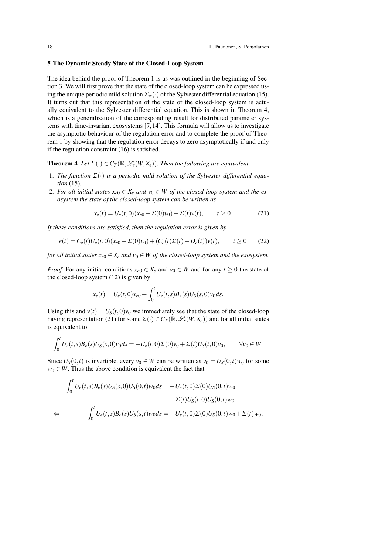# 5 The Dynamic Steady State of the Closed-Loop System

The idea behind the proof of Theorem 1 is as was outlined in the beginning of Section 3. We will first prove that the state of the closed-loop system can be expressed using the unique periodic mild solution  $\Sigma_{\infty}(\cdot)$  of the Sylvester differential equation (15). It turns out that this representation of the state of the closed-loop system is actually equivalent to the Sylvester differential equation. This is shown in Theorem 4, which is a generalization of the corresponding result for distributed parameter systems with time-invariant exosystems [7, 14]. This formula will allow us to investigate the asymptotic behaviour of the regulation error and to complete the proof of Theorem 1 by showing that the regulation error decays to zero asymptotically if and only if the regulation constraint (16) is satisfied.

**Theorem 4** *Let*  $\Sigma(\cdot) \in C_T(\mathbb{R}, \mathscr{L}_s(W, X_e))$ *. Then the following are equivalent.* 

- 1. *The function* Σ(·) *is a periodic mild solution of the Sylvester differential equation* (15)*.*
- 2. For all initial states  $x_{e0} \in X_e$  and  $y_0 \in W$  of the closed-loop system and the ex*osystem the state of the closed-loop system can be written as*

$$
x_e(t) = U_e(t,0)(x_{e0} - \Sigma(0)v_0) + \Sigma(t)v(t), \qquad t \ge 0.
$$
 (21)

*If these conditions are satisfied, then the regulation error is given by*

$$
e(t) = C_e(t)U_e(t,0)(x_{e0} - \Sigma(0)v_0) + (C_e(t)\Sigma(t) + D_e(t))v(t), \qquad t \ge 0 \qquad (22)
$$

*for all initial states*  $x_{e0} \in X_e$  *and*  $v_0 \in W$  *of the closed-loop system and the exosystem.* 

*Proof* For any initial conditions  $x_{e0} \in X_e$  and  $v_0 \in W$  and for any  $t \ge 0$  the state of the closed-loop system (12) is given by

$$
x_e(t) = U_e(t,0)x_{e0} + \int_0^t U_e(t,s)B_e(s)U_s(s,0)v_0ds.
$$

Using this and  $v(t) = U_s(t,0)v_0$  we immediately see that the state of the closed-loop having representation (21) for some  $\Sigma(\cdot) \in C_T(\mathbb{R}, \mathscr{L}_s(W, X_e))$  and for all initial states is equivalent to

$$
\int_0^t U_e(t,s)B_e(s)U_S(s,0)v_0ds = -U_e(t,0)\Sigma(0)v_0 + \Sigma(t)U_S(t,0)v_0, \qquad \forall v_0 \in W.
$$

Since  $U_s(0,t)$  is invertible, every  $v_0 \in W$  can be written as  $v_0 = U_s(0,t)w_0$  for some  $w_0 \in W$ . Thus the above condition is equivalent the fact that

$$
\int_0^t U_e(t,s)B_e(s)U_S(s,0)U_S(0,t)w_0ds = -U_e(t,0)\Sigma(0)U_S(0,t)w_0 \n+ \Sigma(t)U_S(t,0)U_S(0,t)w_0 \n\Leftrightarrow \int_0^t U_e(t,s)B_e(s)U_S(s,t)w_0ds = -U_e(t,0)\Sigma(0)U_S(0,t)w_0 + \Sigma(t)w_0,
$$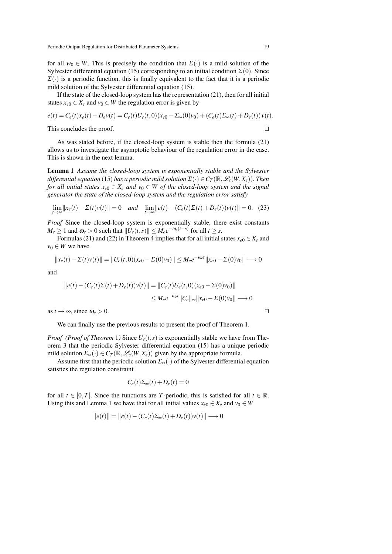for all  $w_0 \in W$ . This is precisely the condition that  $\Sigma(\cdot)$  is a mild solution of the Sylvester differential equation (15) corresponding to an initial condition  $\Sigma(0)$ . Since  $\Sigma(\cdot)$  is a periodic function, this is finally equivalent to the fact that it is a periodic mild solution of the Sylvester differential equation (15).

If the state of the closed-loop system has the representation (21), then for all initial states  $x_{e0} \in X_e$  and  $v_0 \in W$  the regulation error is given by

$$
e(t) = C_e(t)x_e(t) + D_e v(t) = C_e(t)U_e(t,0)(x_{e0} - \Sigma_\infty(0)v_0) + (C_e(t)\Sigma_\infty(t) + D_e(t))v(t).
$$

This concludes the proof.  $\Box$ 

As was stated before, if the closed-loop system is stable then the formula (21) allows us to investigate the asymptotic behaviour of the regulation error in the case. This is shown in the next lemma.

Lemma 1 *Assume the closed-loop system is exponentially stable and the Sylvester differential equation* (15) *has a periodic mild solution*  $\Sigma(\cdot) \in C_T(\mathbb{R}, \mathscr{L}_s(W, X_e))$ *. Then for all initial states*  $x_{e0} \in X_e$  *and*  $v_0 \in W$  *of the closed-loop system and the signal generator the state of the closed-loop system and the regulation error satisfy*

$$
\lim_{t \to \infty} ||x_e(t) - \Sigma(t)v(t)|| = 0 \quad \text{and} \quad \lim_{t \to \infty} ||e(t) - (C_e(t)\Sigma(t) + D_e(t))v(t)|| = 0. \tag{23}
$$

*Proof* Since the closed-loop system is exponentially stable, there exist constants  $M_e \ge 1$  and  $\omega_e > 0$  such that  $||U_e(t,s)|| \le M_e e^{-\omega_e(t-s)}$  for all  $t \ge s$ .

Formulas (21) and (22) in Theorem 4 implies that for all initial states  $x_{e0} \in X_e$  and  $v_0 \in W$  we have

$$
||x_e(t) - \Sigma(t)v(t)|| = ||U_e(t,0)(x_{e0} - \Sigma(0)v_0)|| \leq M_e e^{-\omega_e t} ||x_{e0} - \Sigma(0)v_0|| \longrightarrow 0
$$

and

$$
||e(t) - (C_e(t)\Sigma(t) + D_e(t))v(t)|| = ||C_e(t)U_e(t,0)(x_{e0} - \Sigma(0)v_0)||
$$
  

$$
\leq M_e e^{-\omega_e t} ||C_e||_{\infty} ||x_{e0} - \Sigma(0)v_0|| \longrightarrow 0
$$

as  $t \to \infty$ , since  $\omega_e > 0$ .

We can finally use the previous results to present the proof of Theorem 1.

*Proof (Proof of Theorem 1)* Since  $U_e(t,s)$  is exponentially stable we have from Theorem 3 that the periodic Sylvester differential equation (15) has a unique periodic mild solution  $\Sigma_{\infty}(\cdot) \in C_T(\mathbb{R}, \mathscr{L}_s(W, X_e))$  given by the appropriate formula.

Assume first that the periodic solution  $\Sigma_{\infty}(\cdot)$  of the Sylvester differential equation satisfies the regulation constraint

$$
C_e(t)\Sigma_\infty(t)+D_e(t)=0
$$

for all  $t \in [0, T]$ . Since the functions are *T*-periodic, this is satisfied for all  $t \in \mathbb{R}$ . Using this and Lemma 1 we have that for all initial values  $x_{e0} \in X_e$  and  $v_0 \in W$ 

$$
||e(t)|| = ||e(t) - (C_e(t)\Sigma_\infty(t) + D_e(t))v(t)|| \longrightarrow 0
$$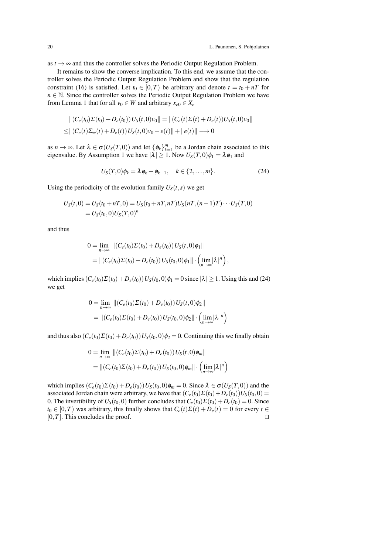as  $t \to \infty$  and thus the controller solves the Periodic Output Regulation Problem.

It remains to show the converse implication. To this end, we assume that the controller solves the Periodic Output Regulation Problem and show that the regulation constraint (16) is satisfied. Let  $t_0 \in [0, T)$  be arbitrary and denote  $t = t_0 + nT$  for *n* ∈ N. Since the controller solves the Periodic Output Regulation Problem we have from Lemma 1 that for all  $v_0 \in W$  and arbitrary  $x_{e0} \in X_e$ 

$$
||(C_e(t_0)\Sigma(t_0) + D_e(t_0))U_S(t,0)v_0|| = ||(C_e(t)\Sigma(t) + D_e(t))U_S(t,0)v_0||
$$
  
\n
$$
\leq ||(C_e(t)\Sigma_{\infty}(t) + D_e(t))U_S(t,0)v_0 - e(t)|| + ||e(t)|| \longrightarrow 0
$$

as  $n \to \infty$ . Let  $\lambda \in \sigma(U_S(T,0))$  and let  $\{\phi_k\}_{k=1}^m$  be a Jordan chain associated to this eigenvalue. By Assumption 1 we have  $|\lambda| \geq 1$ . Now  $U_S(T,0)\phi_1 = \lambda \phi_1$  and

$$
U_S(T,0)\phi_k = \lambda \phi_k + \phi_{k-1}, \quad k \in \{2,\ldots,m\}.
$$

Using the periodicity of the evolution family  $U<sub>S</sub>(t, s)$  we get

$$
U_S(t,0) = U_S(t_0 + nT,0) = U_S(t_0 + nT, nT)U_S(nT, (n-1)T) \cdots U_S(T,0)
$$
  
=  $U_S(t_0,0)U_S(T,0)^n$ 

and thus

$$
0 = \lim_{n \to \infty} ||(C_e(t_0)\Sigma(t_0) + D_e(t_0))U_S(t,0)\phi_1||
$$
  
=  $||(C_e(t_0)\Sigma(t_0) + D_e(t_0))U_S(t_0,0)\phi_1|| \cdot (\lim_{n \to \infty} |\lambda|^n),$ 

which implies  $(C_e(t_0)\Sigma(t_0) + D_e(t_0))U_s(t_0,0)\phi_1 = 0$  since  $|\lambda| \ge 1$ . Using this and (24) we get

$$
0 = \lim_{n \to \infty} ||(C_e(t_0)\Sigma(t_0) + D_e(t_0))U_S(t,0)\phi_2||
$$
  
=  $||(C_e(t_0)\Sigma(t_0) + D_e(t_0))U_S(t_0,0)\phi_2|| \cdot (\lim_{n \to \infty} |\lambda|^n)$ 

and thus also  $(C_e(t_0)\Sigma(t_0) + D_e(t_0))U_s(t_0,0)\phi_2 = 0$ . Continuing this we finally obtain

$$
0 = \lim_{n \to \infty} ||(C_e(t_0)\Sigma(t_0) + D_e(t_0))U_S(t,0)\phi_m||
$$
  
=  $||(C_e(t_0)\Sigma(t_0) + D_e(t_0))U_S(t_0,0)\phi_m|| \cdot (\lim_{n \to \infty} |\lambda|^n)$ 

which implies  $(C_e(t_0)\Sigma(t_0) + D_e(t_0))U_s(t_0,0)\phi_m = 0$ . Since  $\lambda \in \sigma(U_s(T,0))$  and the associated Jordan chain were arbitrary, we have that  $(C_e(t_0)\Sigma(t_0)+D_e(t_0))U_s(t_0,0)$ 0. The invertibility of  $U_S(t_0,0)$  further concludes that  $C_e(t_0)\Sigma(t_0)+D_e(t_0)=0$ . Since  $t_0 \in [0, T)$  was arbitrary, this finally shows that  $C_e(t)\Sigma(t) + D_e(t) = 0$  for every  $t \in$  $[0, T]$ . This concludes the proof.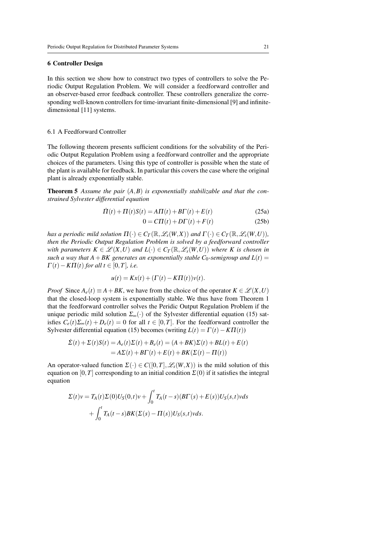#### 6 Controller Design

In this section we show how to construct two types of controllers to solve the Periodic Output Regulation Problem. We will consider a feedforward controller and an observer-based error feedback controller. These controllers generalize the corresponding well-known controllers for time-invariant finite-dimensional [9] and infinitedimensional [11] systems.

#### 6.1 A Feedforward Controller

The following theorem presents sufficient conditions for the solvability of the Periodic Output Regulation Problem using a feedforward controller and the appropriate choices of the parameters. Using this type of controller is possible when the state of the plant is available for feedback. In particular this covers the case where the original plant is already exponentially stable.

Theorem 5 *Assume the pair* (*A*,*B*) *is exponentially stabilizable and that the constrained Sylvester differential equation*

$$
\dot{\Pi}(t) + \Pi(t)S(t) = A\Pi(t) + B\Gamma(t) + E(t)
$$
\n(25a)

$$
0 = C\Pi(t) + D\Gamma(t) + F(t)
$$
\n(25b)

*has a periodic mild solution*  $\Pi(\cdot) \in C_T(\mathbb{R}, \mathscr{L}_s(W, X))$  *and*  $\Gamma(\cdot) \in C_T(\mathbb{R}, \mathscr{L}_s(W, U))$ *, then the Periodic Output Regulation Problem is solved by a feedforward controller with parameters*  $K \in \mathcal{L}(X, U)$  *and*  $L(\cdot) \in C_T(\mathbb{R}, \mathcal{L}_s(W, U))$  *where* K is chosen in *such a way that*  $A + BK$  generates an exponentially stable  $C_0$ -semigroup and  $L(t) =$  $\Gamma(t) - K \Pi(t)$  *for all t* ∈ [0, *T*]*, i.e.* 

$$
u(t) = Kx(t) + (\Gamma(t) - K\Pi(t))v(t).
$$

*Proof* Since  $A_e(t) \equiv A + BK$ , we have from the choice of the operator  $K \in \mathcal{L}(X, U)$ that the closed-loop system is exponentially stable. We thus have from Theorem 1 that the feedforward controller solves the Peridic Output Regulation Problem if the unique periodic mild solution  $\Sigma_{\infty}(\cdot)$  of the Sylvester differential equation (15) satisfies  $C_e(t)\Sigma_\infty(t) + D_e(t) = 0$  for all  $t \in [0,T]$ . For the feedforward controller the Sylvester differential equation (15) becomes (writing  $L(t) = \Gamma(t) - K \Pi(t)$ )

$$
\dot{\Sigma}(t) + \Sigma(t)S(t) = A_e(t)\Sigma(t) + B_e(t) = (A + BK)\Sigma(t) + BL(t) + E(t)
$$
  
=  $A\Sigma(t) + BT(t) + E(t) + BK(\Sigma(t) - \Pi(t))$ 

An operator-valued function  $\Sigma(\cdot) \in C([0,T], \mathscr{L}_s(W,X))$  is the mild solution of this equation on [0,*T*] corresponding to an initial condition  $\Sigma(0)$  if it satisfies the integral equation

$$
\Sigma(t)v = T_A(t)\Sigma(0)U_S(0,t)v + \int_0^t T_A(t-s)(BT(s) + E(s))U_S(s,t)vds
$$
  
+ 
$$
\int_0^t T_A(t-s)BK(\Sigma(s) - \Pi(s))U_S(s,t)vds.
$$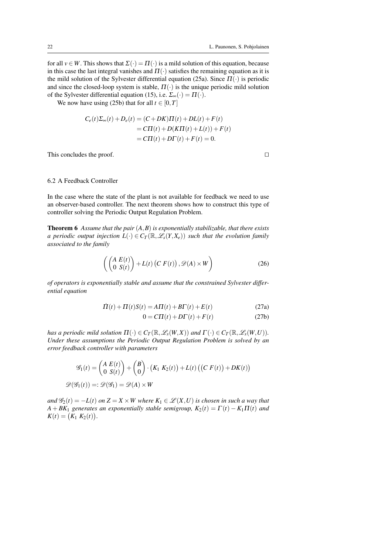for all  $v \in W$ . This shows that  $\Sigma(\cdot) = \Pi(\cdot)$  is a mild solution of this equation, because in this case the last integral vanishes and  $\Pi(\cdot)$  satisfies the remaining equation as it is the mild solution of the Sylvester differential equation (25a). Since  $\Pi(\cdot)$  is periodic and since the closed-loop system is stable,  $\Pi(\cdot)$  is the unique periodic mild solution of the Sylvester differential equation (15), i.e.  $\Sigma_{\infty}(\cdot) = \Pi(\cdot)$ .

We now have using (25b) that for all  $t \in [0, T]$ 

$$
C_e(t)\Sigma_{\infty}(t) + D_e(t) = (C + DK)\Pi(t) + DL(t) + F(t)
$$
  
=  $CI\Pi(t) + D(K\Pi(t) + L(t)) + F(t)$   
=  $CI\Pi(t) + DT(t) + F(t) = 0.$ 

This concludes the proof.  $\Box$ 

## 6.2 A Feedback Controller

In the case where the state of the plant is not available for feedback we need to use an observer-based controller. The next theorem shows how to construct this type of controller solving the Periodic Output Regulation Problem.

Theorem 6 *Assume that the pair* (*A*,*B*) *is exponentially stabilizable, that there exists a periodic output injection*  $L(\cdot) \in C_T(\mathbb{R}, \mathscr{L}_s(Y, X_e))$  such that the evolution family *associated to the family*

$$
\left( \begin{pmatrix} A E(t) \\ 0 S(t) \end{pmatrix} + L(t) \left( C F(t) \right), \mathscr{D}(A) \times W \right) \tag{26}
$$

*of operators is exponentially stable and assume that the constrained Sylvester differential equation*

$$
\dot{\Pi}(t) + \Pi(t)S(t) = A\Pi(t) + B\Gamma(t) + E(t)
$$
\n(27a)

$$
0 = C\Pi(t) + D\Gamma(t) + F(t)
$$
\n(27b)

*has a periodic mild solution*  $\Pi(\cdot) \in C_T(\mathbb{R}, \mathscr{L}_s(W, X))$  *and*  $\Gamma(\cdot) \in C_T(\mathbb{R}, \mathscr{L}_s(W, U))$ *. Under these assumptions the Periodic Output Regulation Problem is solved by an error feedback controller with parameters*

$$
\mathcal{G}_1(t) = \begin{pmatrix} A E(t) \\ 0 S(t) \end{pmatrix} + \begin{pmatrix} B \\ 0 \end{pmatrix} \cdot (K_1 K_2(t)) + L(t) ((C F(t)) + DK(t))
$$
  

$$
\mathcal{D}(\mathcal{G}_1(t)) =: \mathcal{D}(\mathcal{G}_1) = \mathcal{D}(A) \times W
$$

*and*  $\mathscr{G}_2(t) = -L(t)$  *on*  $Z = X \times W$  where  $K_1 \in \mathscr{L}(X, U)$  *is chosen in such a way that*  $A + BK_1$  *generates an exponentially stable semigroup,*  $K_2(t) = \Gamma(t) - K_1 \Pi(t)$  *and*  $K(t) = (K_1 K_2(t)).$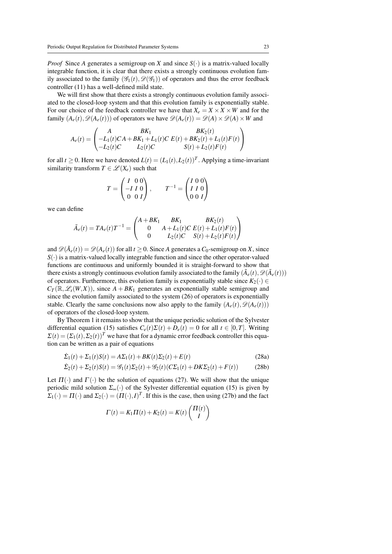*Proof* Since *A* generates a semigroup on *X* and since  $S(\cdot)$  is a matrix-valued locally integrable function, it is clear that there exists a strongly continuous evolution family associated to the family  $(\mathscr{G}_1(t), \mathscr{D}(\mathscr{G}_1))$  of operators and thus the error feedback controller (11) has a well-defined mild state.

We will first show that there exists a strongly continuous evolution family associated to the closed-loop system and that this evolution family is exponentially stable. For our choice of the feedback controller we have that  $X_e = X \times X \times W$  and for the family  $(A_e(t), \mathcal{D}(A_e(t)))$  of operators we have  $\mathcal{D}(A_e(t)) = \mathcal{D}(A) \times \mathcal{D}(A) \times W$  and

$$
A_e(t) = \begin{pmatrix} A & BK_1 & BK_2(t) \\ -L_1(t)CA + BK_1 + L_1(t)C E(t) + BK_2(t) + L_1(t)F(t) \\ -L_2(t)C & L_2(t)C & S(t) + L_2(t)F(t) \end{pmatrix}
$$

for all  $t \ge 0$ . Here we have denoted  $L(t) = (L_1(t), L_2(t))^T$ . Applying a time-invariant similarity transform  $T \in \mathcal{L}(X_e)$  such that

$$
T = \begin{pmatrix} I & 0 & 0 \\ -I & I & 0 \\ 0 & 0 & I \end{pmatrix}, \qquad T^{-1} = \begin{pmatrix} I & 0 & 0 \\ I & I & 0 \\ 0 & 0 & I \end{pmatrix}
$$

we can define

$$
\tilde{A}_e(t) = TA_e(t)T^{-1} = \begin{pmatrix} A + BK_1 & BK_1 & BK_2(t) \\ 0 & A + L_1(t)C E(t) + L_1(t)F(t) \\ 0 & L_2(t)C S(t) + L_2(t)F(t) \end{pmatrix}
$$

and  $\mathscr{D}(\tilde{A}_e(t)) = \mathscr{D}(A_e(t))$  for all  $t \ge 0$ . Since *A* generates a *C*<sub>0</sub>-semigroup on *X*, since  $S(\cdot)$  is a matrix-valued locally integrable function and since the other operator-valued functions are continuous and uniformly bounded it is straight-forward to show that there exists a strongly continuous evolution family associated to the family  $(\tilde{A}_e(t), \mathscr{D}(\tilde{A}_e(t)))$ of operators. Furthermore, this evolution family is exponentially stable since  $K_2(·)$  ∈  $C_T(\mathbb{R}, \mathscr{L}_s(W, X))$ , since  $A + BK_1$  generates an exponentially stable semigroup and since the evolution family associated to the system (26) of operators is exponentially stable. Clearly the same conclusions now also apply to the family  $(A_e(t), \mathcal{D}(A_e(t)))$ of operators of the closed-loop system.

By Theorem 1 it remains to show that the unique periodic solution of the Sylvester differential equation (15) satisfies  $C_e(t)\Sigma(t) + D_e(t) = 0$  for all  $t \in [0, T]$ . Writing  $\Sigma(t) = (\Sigma_1(t), \Sigma_2(t))^T$  we have that for a dynamic error feedback controller this equation can be written as a pair of equations

$$
\dot{\Sigma}_1(t) + \Sigma_1(t)S(t) = A\Sigma_1(t) + BK(t)\Sigma_2(t) + E(t)
$$
\n(28a)

$$
\dot{\Sigma}_2(t) + \Sigma_2(t)S(t) = \mathcal{G}_1(t)\Sigma_2(t) + \mathcal{G}_2(t)(C\Sigma_1(t) + DK\Sigma_2(t) + F(t))
$$
\n(28b)

Let  $\Pi(\cdot)$  and  $\Gamma(\cdot)$  be the solution of equations (27). We will show that the unique periodic mild solution  $\Sigma_{\infty}(\cdot)$  of the Sylvester differential equation (15) is given by  $\Sigma_1(\cdot) = \Pi(\cdot)$  and  $\Sigma_2(\cdot) = (\Pi(\cdot), I)^T$ . If this is the case, then using (27b) and the fact

$$
\Gamma(t) = K_1 \Pi(t) + K_2(t) = K(t) \begin{pmatrix} \Pi(t) \\ I \end{pmatrix}
$$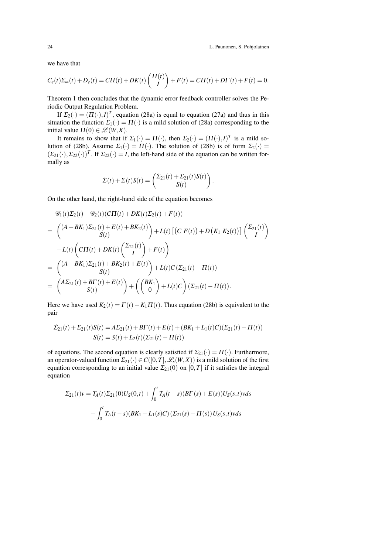we have that

$$
C_e(t)\Sigma_{\infty}(t) + D_e(t) = C\Pi(t) + DK(t)\begin{pmatrix} \Pi(t) \\ I \end{pmatrix} + F(t) = C\Pi(t) + D\Gamma(t) + F(t) = 0.
$$

Theorem 1 then concludes that the dynamic error feedback controller solves the Periodic Output Regulation Problem.

If  $\Sigma_2(\cdot) = (\Pi(\cdot), I)^T$ , equation (28a) is equal to equation (27a) and thus in this situation the function  $\Sigma_1(\cdot) = \Pi(\cdot)$  is a mild solution of (28a) corresponding to the initial value  $\Pi(0) \in \mathcal{L}(W, X)$ .

It remains to show that if  $\Sigma_1(\cdot) = \Pi(\cdot)$ , then  $\Sigma_2(\cdot) = (\Pi(\cdot), I)^T$  is a mild solution of (28b). Assume  $\Sigma_1(\cdot) = \Pi(\cdot)$ . The solution of (28b) is of form  $\Sigma_2(\cdot) =$  $(\Sigma_{21}(\cdot), \Sigma_{22}(\cdot))^T$ . If  $\Sigma_{22}(\cdot) = I$ , the left-hand side of the equation can be written formally as

$$
\dot{\Sigma}(t) + \Sigma(t)S(t) = \begin{pmatrix} \dot{\Sigma}_{21}(t) + \Sigma_{21}(t)S(t) \\ S(t) \end{pmatrix}.
$$

On the other hand, the right-hand side of the equation becomes

$$
\mathcal{G}_1(t)\Sigma_2(t) + \mathcal{G}_2(t)(C\Pi(t) + DK(t)\Sigma_2(t) + F(t))
$$
\n
$$
= \begin{pmatrix}\n(A + BK_1)\Sigma_{21}(t) + E(t) + BK_2(t) \\
S(t)\n\end{pmatrix} + L(t) \left[ (C F(t)) + D (K_1 K_2(t)) \right] \begin{pmatrix}\n\Sigma_{21}(t) \\
I\n\end{pmatrix}
$$
\n
$$
- L(t) \left( C\Pi(t) + DK(t) \begin{pmatrix}\n\Sigma_{21}(t) \\
I\n\end{pmatrix} + F(t) \right)
$$
\n
$$
= \begin{pmatrix}\n(A + BK_1)\Sigma_{21}(t) + BK_2(t) + E(t) \\
S(t)\n\end{pmatrix} + L(t)C (\Sigma_{21}(t) - \Pi(t))
$$
\n
$$
= \begin{pmatrix}\nA\Sigma_{21}(t) + BT(t) + E(t) \\
S(t)\n\end{pmatrix} + \left( \begin{pmatrix}\nBK_1 \\
0\n\end{pmatrix} + L(t)C \right) (\Sigma_{21}(t) - \Pi(t)).
$$

Here we have used  $K_2(t) = \Gamma(t) - K_1 \Pi(t)$ . Thus equation (28b) is equivalent to the pair

$$
\dot{\Sigma}_{21}(t) + \Sigma_{21}(t)S(t) = A\Sigma_{21}(t) + B\Gamma(t) + E(t) + (BK_1 + L_1(t)C)(\Sigma_{21}(t) - \Pi(t))
$$
  

$$
S(t) = S(t) + L_2(t)(\Sigma_{21}(t) - \Pi(t))
$$

of equations. The second equation is clearly satisfied if  $\Sigma_{21}(\cdot) = \Pi(\cdot)$ . Furthermore, an operator-valued function  $\Sigma_{21}(\cdot) \in C([0,T], \mathcal{L}_s(W,X))$  is a mild solution of the first equation corresponding to an initial value  $\Sigma_{21}(0)$  on  $[0,T]$  if it satisfies the integral equation

$$
\Sigma_{21}(t)v = T_A(t)\Sigma_{21}(0)U_S(0,t) + \int_0^t T_A(t-s)(B\Gamma(s) + E(s))U_S(s,t)vds
$$
  
+ 
$$
\int_0^t T_A(t-s)(BK_1 + L_1(s)C)(\Sigma_{21}(s) - \Pi(s))U_S(s,t)vds
$$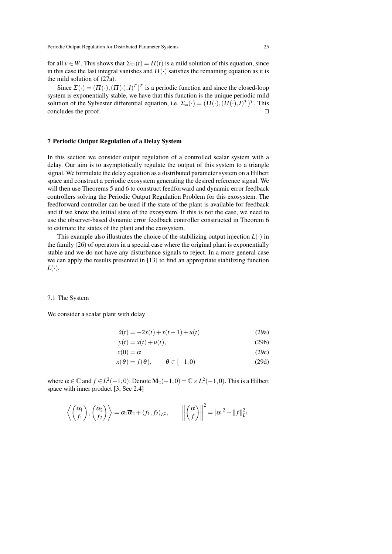for all  $v \in W$ . This shows that  $\Sigma_{21}(t) = \Pi(t)$  is a mild solution of this equation, since in this case the last integral vanishes and  $\Pi(\cdot)$  satisfies the remaining equation as it is the mild solution of (27a).

Since  $\Sigma(\cdot) = (\Pi(\cdot), (\Pi(\cdot), I)^T)^T$  is a periodic function and since the closed-loop system is exponentially stable, we have that this function is the unique periodic mild solution of the Sylvester differential equation, i.e.  $\Sigma_{\infty}(\cdot) = (\Pi(\cdot), (\Pi(\cdot), I)^{T})^{T}$ . This concludes the proof.  $\Box$ 

## 7 Periodic Output Regulation of a Delay System

In this section we consider output regulation of a controlled scalar system with a delay. Our aim is to asymptotically regulate the output of this system to a triangle signal. We formulate the delay equation as a distributed parameter system on a Hilbert space and construct a periodic exosystem generating the desired reference signal. We will then use Theorems 5 and 6 to construct feedforward and dynamic error feedback controllers solving the Periodic Output Regulation Problem for this exosystem. The feedforward controller can be used if the state of the plant is available for feedback and if we know the initial state of the exosystem. If this is not the case, we need to use the observer-based dynamic error feedback controller constructed in Theorem 6 to estimate the states of the plant and the exosystem.

This example also illustrates the choice of the stabilizing output injection  $L(\cdot)$  in the family (26) of operators in a special case where the original plant is exponentially stable and we do not have any disturbance signals to reject. In a more general case we can apply the results presented in [13] to find an appropriate stabilizing function  $L(\cdot)$ .

#### 7.1 The System

We consider a scalar plant with delay

$$
\dot{x}(t) = -2x(t) + x(t-1) + u(t)
$$
\n(29a)

$$
y(t) = x(t) + u(t),
$$
\n<sup>(29b)</sup>

$$
x(0) = \alpha \tag{29c}
$$

$$
x(\theta) = f(\theta), \qquad \theta \in [-1, 0)
$$
 (29d)

where  $\alpha \in \mathbb{C}$  and  $f \in L^2(-1,0)$ . Denote  $\mathbf{M}_2(-1,0) = \mathbb{C} \times L^2(-1,0)$ . This is a Hilbert space with inner product [3, Sec 2.4]

$$
\left\langle \begin{pmatrix} \alpha_1 \\ f_1 \end{pmatrix}, \begin{pmatrix} \alpha_2 \\ f_2 \end{pmatrix} \right\rangle = \alpha_1 \overline{\alpha}_2 + \left\langle f_1, f_2 \right\rangle_{L^2}, \qquad \left\| \begin{pmatrix} \alpha \\ f \end{pmatrix} \right\|^2 = |\alpha|^2 + \|f\|_{L^2}^2.
$$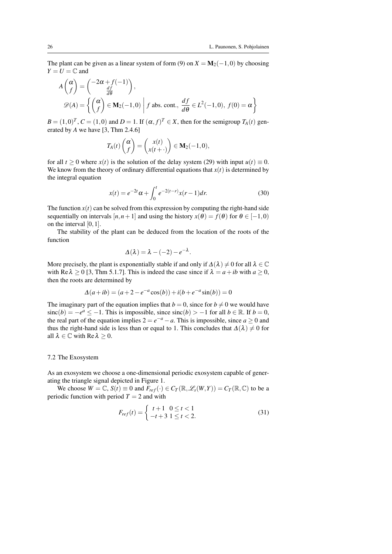The plant can be given as a linear system of form (9) on  $X = M_2(-1,0)$  by choosing  $Y = U = \mathbb{C}$  and

$$
A\begin{pmatrix} \alpha \\ f \end{pmatrix} = \begin{pmatrix} -2\alpha + f(-1) \\ \frac{df}{d\theta} \end{pmatrix},
$$
  
 
$$
\mathscr{D}(A) = \left\{ \begin{pmatrix} \alpha \\ f \end{pmatrix} \in \mathbf{M}_2(-1,0) \middle| f \text{ abs. cont.}, \frac{df}{d\theta} \in L^2(-1,0), f(0) = \alpha \right\}
$$

 $B = (1,0)^T$ ,  $C = (1,0)$  and  $D = 1$ . If  $(\alpha, f)^T \in X$ , then for the semigroup  $T_A(t)$  generated by *A* we have [3, Thm 2.4.6]

$$
T_A(t)\begin{pmatrix} \alpha \\ f \end{pmatrix} = \begin{pmatrix} x(t) \\ x(t+\cdot) \end{pmatrix} \in \mathbf{M}_2(-1,0),
$$

for all  $t \ge 0$  where  $x(t)$  is the solution of the delay system (29) with input  $u(t) \equiv 0$ . We know from the theory of ordinary differential equations that  $x(t)$  is determined by the integral equation

$$
x(t) = e^{-2t}\alpha + \int_0^t e^{-2(t-r)}x(r-1)dr.
$$
 (30)

The function  $x(t)$  can be solved from this expression by computing the right-hand side sequentially on intervals  $[n, n+1]$  and using the history  $x(\theta) = f(\theta)$  for  $\theta \in [-1, 0)$ on the interval  $[0,1]$ .

The stability of the plant can be deduced from the location of the roots of the function

$$
\Delta(\lambda) = \lambda - (-2) - e^{-\lambda}.
$$

More precisely, the plant is exponentially stable if and only if  $\Delta(\lambda) \neq 0$  for all  $\lambda \in \mathbb{C}$ with Re  $\lambda \ge 0$  [3, Thm 5.1.7]. This is indeed the case since if  $\lambda = a + ib$  with  $a \ge 0$ , then the roots are determined by

$$
\Delta(a+ib) = (a+2-e^{-a}\cos(b)) + i(b+e^{-a}\sin(b)) = 0
$$

The imaginary part of the equation implies that  $b = 0$ , since for  $b \neq 0$  we would have sinc(*b*) = −*e*<sup>*a*</sup> ≤ −1. This is impossible, since sinc(*b*) > −1 for all *b* ∈ R. If *b* = 0, the real part of the equation implies  $2 = e^{-a} - a$ . This is impossible, since  $a \ge 0$  and thus the right-hand side is less than or equal to 1. This concludes that  $\Delta(\lambda) \neq 0$  for all  $\lambda \in \mathbb{C}$  with Re  $\lambda > 0$ .

#### 7.2 The Exosystem

As an exosystem we choose a one-dimensional periodic exosystem capable of generating the triangle signal depicted in Figure 1.

We choose  $W = \mathbb{C}$ ,  $S(t) \equiv 0$  and  $F_{ref}(\cdot) \in C_T(\mathbb{R}, \mathcal{L}_s(W, Y)) = C_T(\mathbb{R}, \mathbb{C})$  to be a periodic function with period  $T = 2$  and with

$$
F_{ref}(t) = \begin{cases} t+1 & 0 \le t < 1 \\ -t+3 & 1 \le t < 2. \end{cases}
$$
 (31)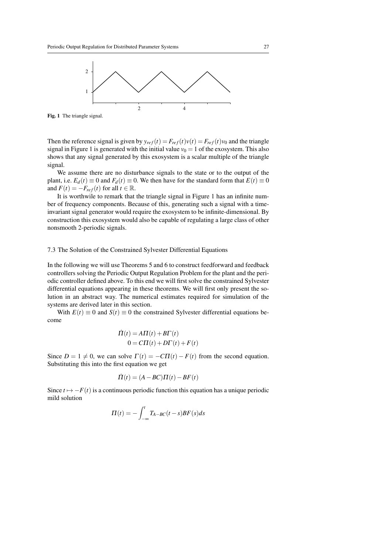

Fig. 1 The triangle signal.

Then the reference signal is given by  $y_{ref}(t) = F_{ref}(t)v(t) = F_{ref}(t)v_0$  and the triangle signal in Figure 1 is generated with the initial value  $v_0 = 1$  of the exosystem. This also shows that any signal generated by this exosystem is a scalar multiple of the triangle signal.

We assume there are no disturbance signals to the state or to the output of the plant, i.e.  $E_d(t) \equiv 0$  and  $F_d(t) \equiv 0$ . We then have for the standard form that  $E(t) \equiv 0$ and  $F(t) = -F_{ref}(t)$  for all  $t \in \mathbb{R}$ .

It is worthwile to remark that the triangle signal in Figure 1 has an infinite number of frequency components. Because of this, generating such a signal with a timeinvariant signal generator would require the exosystem to be infinite-dimensional. By construction this exosystem would also be capable of regulating a large class of other nonsmooth 2-periodic signals.

## 7.3 The Solution of the Constrained Sylvester Differential Equations

In the following we will use Theorems 5 and 6 to construct feedforward and feedback controllers solving the Periodic Output Regulation Problem for the plant and the periodic controller defined above. To this end we will first solve the constrained Sylvester differential equations appearing in these theorems. We will first only present the solution in an abstract way. The numerical estimates required for simulation of the systems are derived later in this section.

With  $E(t) \equiv 0$  and  $S(t) \equiv 0$  the constrained Sylvester differential equations become

$$
\dot{\Pi}(t) = A\Pi(t) + B\Gamma(t)
$$
  

$$
0 = C\Pi(t) + D\Gamma(t) + F(t)
$$

Since  $D = 1 \neq 0$ , we can solve  $\Gamma(t) = -C\Gamma(t) - F(t)$  from the second equation. Substituting this into the first equation we get

$$
\dot{\Pi}(t) = (A - BC)\Pi(t) - BF(t)
$$

Since  $t \mapsto -F(t)$  is a continuous periodic function this equation has a unique periodic mild solution

$$
\Pi(t) = -\int_{-\infty}^{t} T_{A-BC}(t-s)BF(s)ds
$$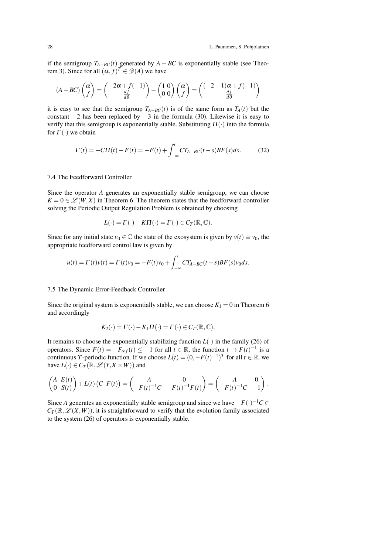if the semigroup  $T_{A-BC}(t)$  generated by  $A - BC$  is exponentially stable (see Theorem 3). Since for all  $(\alpha, f)^T \in \mathscr{D}(A)$  we have

$$
(A - BC) \begin{pmatrix} \alpha \\ f \end{pmatrix} = \begin{pmatrix} -2\alpha + f(-1) \\ \frac{df}{d\theta} \end{pmatrix} - \begin{pmatrix} 1 & 0 \\ 0 & 0 \end{pmatrix} \begin{pmatrix} \alpha \\ f \end{pmatrix} = \begin{pmatrix} (-2 - 1)\alpha + f(-1) \\ \frac{df}{d\theta} \end{pmatrix}
$$

it is easy to see that the semigroup  $T_{A-BC}(t)$  is of the same form as  $T_A(t)$  but the constant −2 has been replaced by −3 in the formula (30). Likewise it is easy to verify that this semigroup is exponentially stable. Substituting  $\Pi(\cdot)$  into the formula for  $\Gamma(\cdot)$  we obtain

$$
\Gamma(t) = -C\Pi(t) - F(t) = -F(t) + \int_{-\infty}^{t} CT_{A-BC}(t-s)BF(s)ds.
$$
 (32)

#### 7.4 The Feedforward Controller

Since the operator *A* generates an exponentially stable semigroup, we can choose  $K = 0 \in \mathcal{L}(W, X)$  in Theorem 6. The theorem states that the feedforward controller solving the Periodic Output Regulation Problem is obtained by choosing

$$
L(\cdot) = \Gamma(\cdot) - K\Pi(\cdot) = \Gamma(\cdot) \in C_T(\mathbb{R}, \mathbb{C}).
$$

Since for any initial state  $v_0 \in \mathbb{C}$  the state of the exosystem is given by  $v(t) \equiv v_0$ , the appropriate feedforward control law is given by

$$
u(t) = \Gamma(t)v(t) = \Gamma(t)v_0 = -F(t)v_0 + \int_{-\infty}^t CT_{A-BC}(t-s)BF(s)v_0ds.
$$

#### 7.5 The Dynamic Error-Feedback Controller

Since the original system is exponentially stable, we can choose  $K_1 = 0$  in Theorem 6 and accordingly

$$
K_2(\cdot) = \Gamma(\cdot) - K_1 \Pi(\cdot) = \Gamma(\cdot) \in C_T(\mathbb{R}, \mathbb{C}).
$$

It remains to choose the exponentially stabilizing function  $L(\cdot)$  in the family (26) of operators. Since  $F(t) = -F_{ref}(t) \le -1$  for all  $t \in \mathbb{R}$ , the function  $t \mapsto F(t)^{-1}$  is a continuous *T*-periodic function. If we choose  $L(t) = (0, -F(t)^{-1})^T$  for all  $t \in \mathbb{R}$ , we have  $L(\cdot) \in C_T(\mathbb{R}, \mathscr{L}(Y, X \times W))$  and

$$
\begin{pmatrix} A & E(t) \\ 0 & S(t) \end{pmatrix} + L(t) \begin{pmatrix} C & F(t) \end{pmatrix} = \begin{pmatrix} A & 0 \\ -F(t)^{-1}C & -F(t)^{-1}F(t) \end{pmatrix} = \begin{pmatrix} A & 0 \\ -F(t)^{-1}C & -1 \end{pmatrix}.
$$

Since *A* generates an exponentially stable semigroup and since we have  $-F(\cdot)^{-1}C \in$  $C_T(\mathbb{R}, \mathscr{L}(X, W))$ , it is straightforward to verify that the evolution family associated to the system (26) of operators is exponentially stable.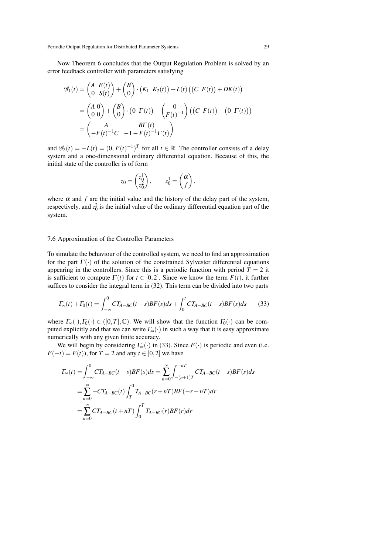Now Theorem 6 concludes that the Output Regulation Problem is solved by an error feedback controller with parameters satisfying

$$
\mathcal{G}_1(t) = \begin{pmatrix} A & E(t) \\ 0 & S(t) \end{pmatrix} + \begin{pmatrix} B \\ 0 \end{pmatrix} \cdot \left( K_1 & K_2(t) \right) + L(t) \left( \left( C & F(t) \right) + D K(t) \right) \\
= \begin{pmatrix} A & 0 \\ 0 & 0 \end{pmatrix} + \begin{pmatrix} B \\ 0 \end{pmatrix} \cdot \left( 0 & \Gamma(t) \right) - \begin{pmatrix} 0 \\ F(t)^{-1} \end{pmatrix} \left( \left( C & F(t) \right) + \left( 0 & \Gamma(t) \right) \right) \\
= \begin{pmatrix} A & B \Gamma(t) \\ -F(t)^{-1} C & -1 - F(t)^{-1} \Gamma(t) \end{pmatrix}
$$

and  $\mathscr{G}_2(t) = -L(t) = (0, F(t)^{-1})^T$  for all  $t \in \mathbb{R}$ . The controller consists of a delay system and a one-dimensional ordinary differential equation. Because of this, the initial state of the controller is of form

$$
z_0 = \begin{pmatrix} z_0^1 \\ z_0^2 \end{pmatrix}, \qquad z_0^1 = \begin{pmatrix} \alpha \\ f \end{pmatrix},
$$

where  $\alpha$  and  $f$  are the initial value and the history of the delay part of the system, respectively, and  $z_0^2$  is the initial value of the ordinary differential equation part of the system.

## 7.6 Approximation of the Controller Parameters

To simulate the behaviour of the controlled system, we need to find an approximation for the part  $\Gamma(\cdot)$  of the solution of the constrained Sylvester differential equations appearing in the controllers. Since this is a periodic function with period  $T = 2$  it is sufficient to compute  $\Gamma(t)$  for  $t \in [0,2]$ . Since we know the term  $F(t)$ , it further suffices to consider the integral term in (32). This term can be divided into two parts

$$
\Gamma_{\infty}(t) + \Gamma_0(t) = \int_{-\infty}^{0} CT_{A-BC}(t-s)BF(s)ds + \int_{0}^{t} CT_{A-BC}(t-s)BF(s)ds \tag{33}
$$

where  $\Gamma_{\infty}(\cdot),\Gamma_0(\cdot) \in ([0,T],\mathbb{C})$ . We will show that the function  $\Gamma_0(\cdot)$  can be computed explicitly and that we can write  $\Gamma_{\infty}(\cdot)$  in such a way that it is easy approximate numerically with any given finite accuracy.

We will begin by considering  $\Gamma_{\infty}(\cdot)$  in (33). Since  $F(\cdot)$  is periodic and even (i.e. *F*(−*t*) = *F*(*t*)), for *T* = 2 and any *t* ∈ [0,2] we have

$$
\begin{split} \varGamma_{\infty}(t) &= \int_{-\infty}^{0} CT_{A-BC}(t-s)BF(s)ds = \sum_{n=0}^{\infty} \int_{-(n+1)T}^{-n} CT_{A-BC}(t-s)BF(s)ds \\ &= \sum_{n=0}^{\infty} -CT_{A-BC}(t) \int_{T}^{0} T_{A-BC}(r+nT)BF(-r-nT)dr \\ &= \sum_{n=0}^{\infty} CT_{A-BC}(t+nT) \int_{0}^{T} T_{A-BC}(r)BF(r)dr \end{split}
$$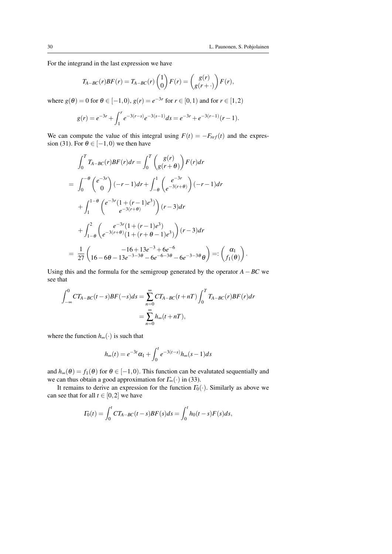.

For the integrand in the last expression we have

$$
T_{A-BC}(r)BF(r) = T_{A-BC}(r)\begin{pmatrix}1\\0\end{pmatrix}F(r) = \begin{pmatrix}g(r)\\g(r+\cdot)\end{pmatrix}F(r),
$$

where  $g(\theta) = 0$  for  $\theta \in [-1,0)$ ,  $g(r) = e^{-3r}$  for  $r \in [0,1)$  and for  $r \in [1,2)$ 

$$
g(r) = e^{-3r} + \int_1^r e^{-3(r-s)} e^{-3(s-1)} ds = e^{-3r} + e^{-3(r-1)}(r-1).
$$

We can compute the value of this integral using  $F(t) = -F_{ref}(t)$  and the expression (31). For  $\theta \in [-1,0)$  we then have

$$
\int_0^T T_{A-BC}(r)BF(r)dr = \int_0^T \binom{g(r)}{g(r+\theta)} F(r)dr
$$
  
= 
$$
\int_0^{-\theta} \binom{e^{-3r}}{0} (-r-1)dr + \int_{-\theta}^1 \binom{e^{-3r}}{e^{-3(r+\theta)}} (-r-1)dr
$$
  
+ 
$$
\int_1^{1-\theta} \binom{e^{-3r}(1+(r-1)e^3)}{e^{-3(r+\theta)}} (r-3)dr
$$
  
+ 
$$
\int_{1-\theta}^2 \binom{e^{-3r}(1+(r-1)e^3)}{e^{-3(r+\theta)}(1+(r+\theta-1)e^3)} (r-3)dr
$$
  
= 
$$
\frac{1}{27} \binom{-16+13e^{-3}+6e^{-6}}{16-6\theta-13e^{-3-3\theta}-6e^{-6-3\theta}-6e^{-3-3\theta}\theta} =: \binom{\alpha_1}{f_1(\theta)}
$$

Using this and the formula for the semigroup generated by the operator  $A - BC$  we see that

$$
\int_{-\infty}^{0} CT_{A-BC}(t-s)BF(-s)ds = \sum_{n=0}^{\infty} CT_{A-BC}(t+nT) \int_{0}^{T} T_{A-BC}(r)BF(r)dr
$$

$$
= \sum_{n=0}^{\infty} h_{\infty}(t+nT),
$$

where the function *h*∞(·) is such that

$$
h_{\infty}(t) = e^{-3t} \alpha_1 + \int_0^t e^{-3(t-s)} h_{\infty}(s-1) ds
$$

and  $h_{\infty}(\theta) = f_1(\theta)$  for  $\theta \in [-1,0)$ . This function can be evalutated sequentially and we can thus obtain a good approximation for  $\Gamma_{\infty}(\cdot)$  in (33).

It remains to derive an expression for the function  $\Gamma_0(\cdot)$ . Similarly as above we can see that for all  $t \in [0,2]$  we have

$$
\Gamma_0(t) = \int_0^t C T_{A-BC}(t-s) BF(s) ds = \int_0^t h_0(t-s) F(s) ds,
$$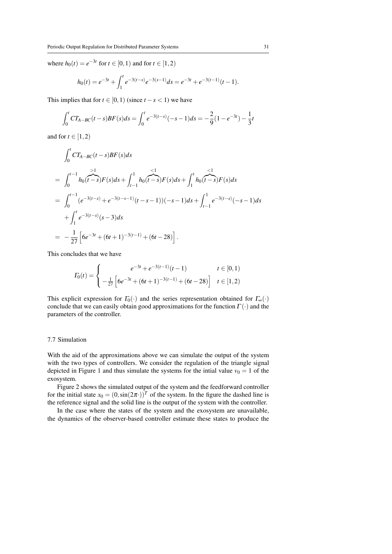where  $h_0(t) = e^{-3t}$  for  $t \in [0, 1)$  and for  $t \in [1, 2)$ 

$$
h_0(t) = e^{-3t} + \int_1^t e^{-3(t-s)} e^{-3(s-1)} ds = e^{-3t} + e^{-3(t-1)} (t-1).
$$

This implies that for  $t \in [0,1)$  (since  $t - s < 1$ ) we have

$$
\int_0^t CT_{A-BC}(t-s)BF(s)ds = \int_0^t e^{-3(t-s)}(-s-1)ds = -\frac{2}{9}(1-e^{-3t}) - \frac{1}{3}t
$$

and for  $t \in [1, 2)$ 

$$
\int_0^t CT_{A-BC}(t-s)BF(s)ds
$$
\n
$$
= \int_0^{t-1} h_0(t-s)F(s)ds + \int_{t-1}^1 h_0(t-s)F(s)ds + \int_1^t h_0(t-s)F(s)ds
$$
\n
$$
= \int_0^{t-1} (e^{-3(t-s)} + e^{-3(t-s-1)}(t-s-1))(-s-1)ds + \int_{t-1}^1 e^{-3(t-s)}(-s-1)ds
$$
\n
$$
+ \int_1^t e^{-3(t-s)}(s-3)ds
$$
\n
$$
= -\frac{1}{27} \left[ 6e^{-3t} + (6t+1)^{-3(t-1)} + (6t-28) \right].
$$

This concludes that we have

$$
I_0(t) = \begin{cases} e^{-3t} + e^{-3(t-1)}(t-1) & t \in [0,1) \\ -\frac{1}{27} \left[ 6e^{-3t} + (6t+1)^{-3(t-1)} + (6t-28) \right] & t \in [1,2) \end{cases}
$$

This explicit expression for  $\Gamma_0(\cdot)$  and the series representation obtained for  $\Gamma_{\infty}(\cdot)$ conclude that we can easily obtain good approximations for the function  $\Gamma(\cdot)$  and the parameters of the controller.

### 7.7 Simulation

With the aid of the approximations above we can simulate the output of the system with the two types of controllers. We consider the regulation of the triangle signal depicted in Figure 1 and thus simulate the systems for the intial value  $v_0 = 1$  of the exosystem.

Figure 2 shows the simulated output of the system and the feedforward controller for the initial state  $x_0 = (0, \sin(2\pi))$ <sup>T</sup> of the system. In the figure the dashed line is the reference signal and the solid line is the output of the system with the controller.

In the case where the states of the system and the exosystem are unavailable, the dynamics of the observer-based controller estimate these states to produce the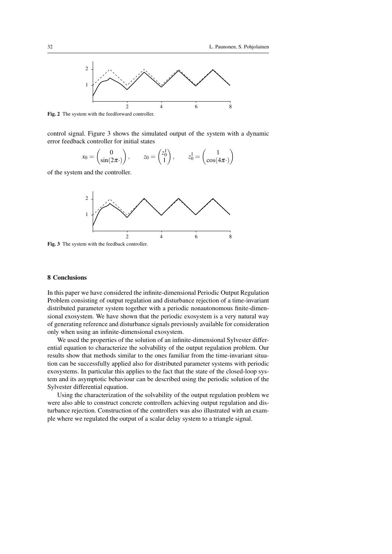

Fig. 2 The system with the feedforward controller.

control signal. Figure 3 shows the simulated output of the system with a dynamic error feedback controller for initial states

$$
x_0 = \begin{pmatrix} 0 \\ \sin(2\pi) \end{pmatrix}, \qquad z_0 = \begin{pmatrix} z_0^1 \\ 1 \end{pmatrix}, \qquad z_0^1 = \begin{pmatrix} 1 \\ \cos(4\pi) \end{pmatrix}
$$

of the system and the controller.



Fig. 3 The system with the feedback controller.

## 8 Conclusions

In this paper we have considered the infinite-dimensional Periodic Output Regulation Problem consisting of output regulation and disturbance rejection of a time-invariant distributed parameter system together with a periodic nonautonomous finite-dimensional exosystem. We have shown that the periodic exosystem is a very natural way of generating reference and disturbance signals previously available for consideration only when using an infinite-dimensional exosystem.

We used the properties of the solution of an infinite-dimensional Sylvester differential equation to characterize the solvability of the output regulation problem. Our results show that methods similar to the ones familiar from the time-invariant situation can be successfully applied also for distributed parameter systems with periodic exosystems. In particular this applies to the fact that the state of the closed-loop system and its asymptotic behaviour can be described using the periodic solution of the Sylvester differential equation.

Using the characterization of the solvability of the output regulation problem we were also able to construct concrete controllers achieving output regulation and disturbance rejection. Construction of the controllers was also illustrated with an example where we regulated the output of a scalar delay system to a triangle signal.